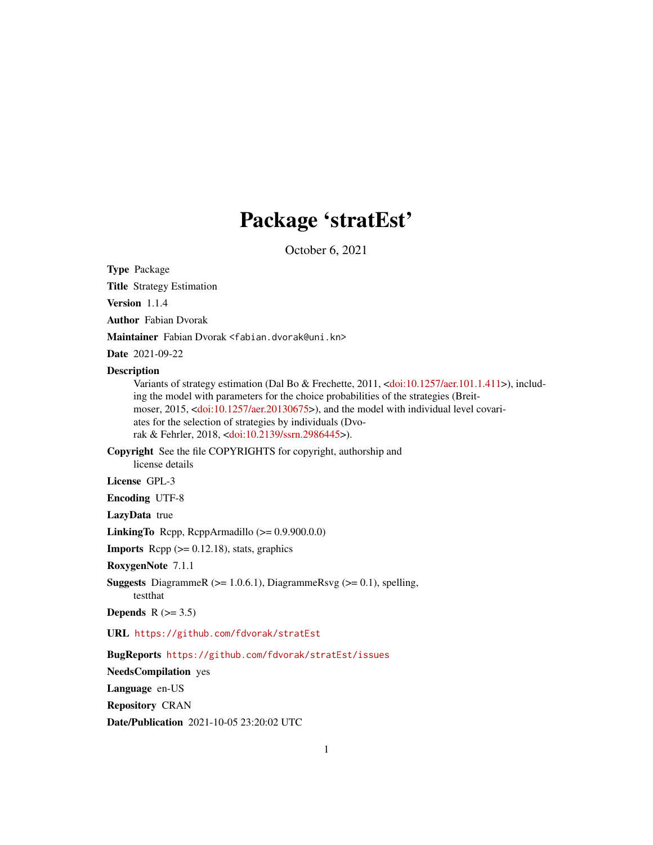# Package 'stratEst'

October 6, 2021

Type Package

Title Strategy Estimation

Version 1.1.4

Author Fabian Dvorak

Maintainer Fabian Dvorak <fabian.dvorak@uni.kn>

Date 2021-09-22

#### Description

Variants of strategy estimation (Dal Bo & Frechette, 2011, [<doi:10.1257/aer.101.1.411>](https://doi.org/10.1257/aer.101.1.411)), including the model with parameters for the choice probabilities of the strategies (Breitmoser, 2015, [<doi:10.1257/aer.20130675>](https://doi.org/10.1257/aer.20130675)), and the model with individual level covariates for the selection of strategies by individuals (Dvorak & Fehrler, 2018, [<doi:10.2139/ssrn.2986445>](https://doi.org/10.2139/ssrn.2986445)).

Copyright See the file COPYRIGHTS for copyright, authorship and license details

License GPL-3

Encoding UTF-8

LazyData true

**LinkingTo** Rcpp, RcppArmadillo  $(>= 0.9.900.0.0)$ 

**Imports** Rcpp  $(>= 0.12.18)$ , stats, graphics

RoxygenNote 7.1.1

**Suggests** DiagrammeR ( $>= 1.0.6.1$ ), DiagrammeRsvg ( $>= 0.1$ ), spelling, testthat

Depends  $R$  ( $>= 3.5$ )

URL <https://github.com/fdvorak/stratEst>

BugReports <https://github.com/fdvorak/stratEst/issues>

NeedsCompilation yes

Language en-US

Repository CRAN

Date/Publication 2021-10-05 23:20:02 UTC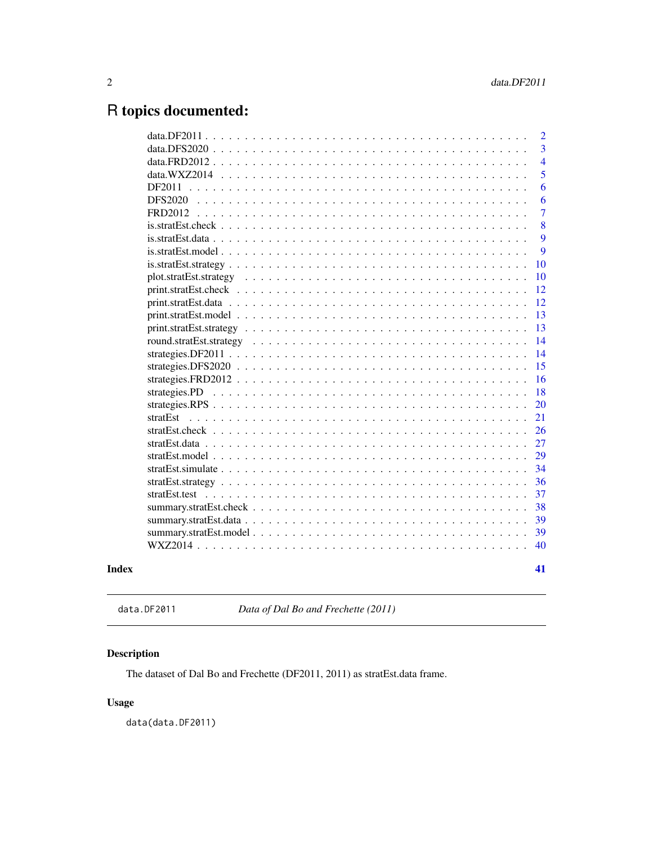## <span id="page-1-0"></span>R topics documented:

|       |                                                                                                         | $\overline{2}$ |
|-------|---------------------------------------------------------------------------------------------------------|----------------|
|       | $data$ DFS2020                                                                                          | $\overline{3}$ |
|       |                                                                                                         | $\overline{4}$ |
|       | data. $WXZ2014$                                                                                         | 5              |
|       | DF2011                                                                                                  | 6              |
|       | <b>DFS2020</b>                                                                                          | 6              |
|       | FRD2012                                                                                                 | 7              |
|       |                                                                                                         | 8              |
|       |                                                                                                         | 9              |
|       | is.stratEst. model.                                                                                     | 9              |
|       |                                                                                                         | 10             |
|       |                                                                                                         | 10             |
|       |                                                                                                         | 12             |
|       |                                                                                                         | 12             |
|       |                                                                                                         | 13             |
|       | $print.startEst.startegy \dots \dots \dots \dots \dots \dots \dots \dots \dots \dots \dots \dots \dots$ | 13             |
|       |                                                                                                         | 14             |
|       |                                                                                                         | 14             |
|       |                                                                                                         | 15             |
|       |                                                                                                         | 16             |
|       |                                                                                                         | 18             |
|       |                                                                                                         | 20             |
|       | stratEst                                                                                                | 21             |
|       |                                                                                                         | 26             |
|       |                                                                                                         | 27             |
|       |                                                                                                         | 29             |
|       |                                                                                                         | 34             |
|       |                                                                                                         | 36             |
|       |                                                                                                         | 37             |
|       |                                                                                                         | 38             |
|       |                                                                                                         | 39             |
|       |                                                                                                         | 39             |
|       |                                                                                                         | 40             |
| Index |                                                                                                         | 41             |

data.DF2011 *Data of Dal Bo and Frechette (2011)*

### Description

The dataset of Dal Bo and Frechette (DF2011, 2011) as stratEst.data frame.

#### Usage

data(data.DF2011)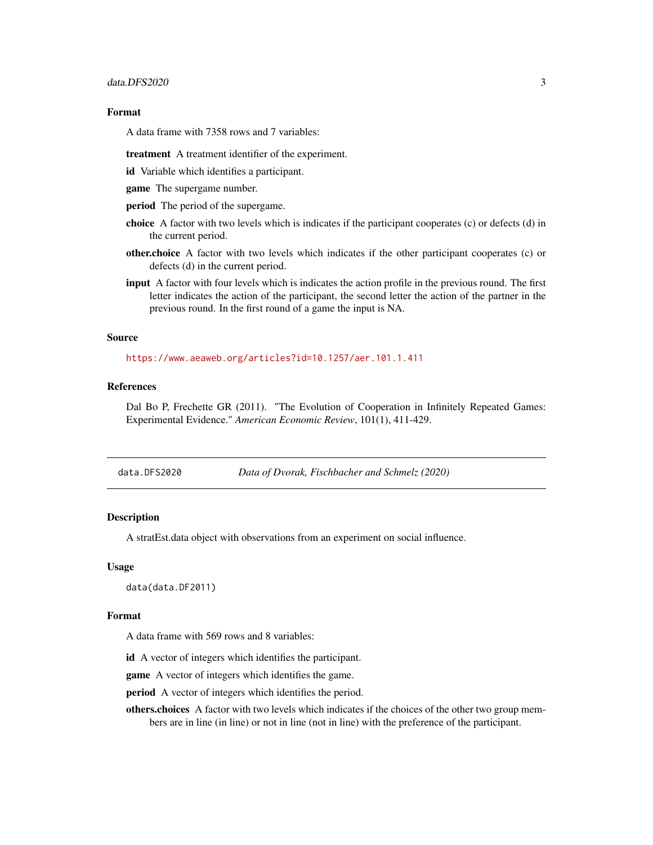<span id="page-2-0"></span>A data frame with 7358 rows and 7 variables:

treatment A treatment identifier of the experiment.

id Variable which identifies a participant.

game The supergame number.

period The period of the supergame.

- choice A factor with two levels which is indicates if the participant cooperates (c) or defects (d) in the current period.
- other.choice A factor with two levels which indicates if the other participant cooperates (c) or defects (d) in the current period.
- input A factor with four levels which is indicates the action profile in the previous round. The first letter indicates the action of the participant, the second letter the action of the partner in the previous round. In the first round of a game the input is NA.

#### Source

<https://www.aeaweb.org/articles?id=10.1257/aer.101.1.411>

#### References

Dal Bo P, Frechette GR (2011). "The Evolution of Cooperation in Infinitely Repeated Games: Experimental Evidence." *American Economic Review*, 101(1), 411-429.

data.DFS2020 *Data of Dvorak, Fischbacher and Schmelz (2020)*

#### **Description**

A stratEst.data object with observations from an experiment on social influence.

#### Usage

data(data.DF2011)

#### Format

A data frame with 569 rows and 8 variables:

id A vector of integers which identifies the participant.

game A vector of integers which identifies the game.

period A vector of integers which identifies the period.

others.choices A factor with two levels which indicates if the choices of the other two group members are in line (in line) or not in line (not in line) with the preference of the participant.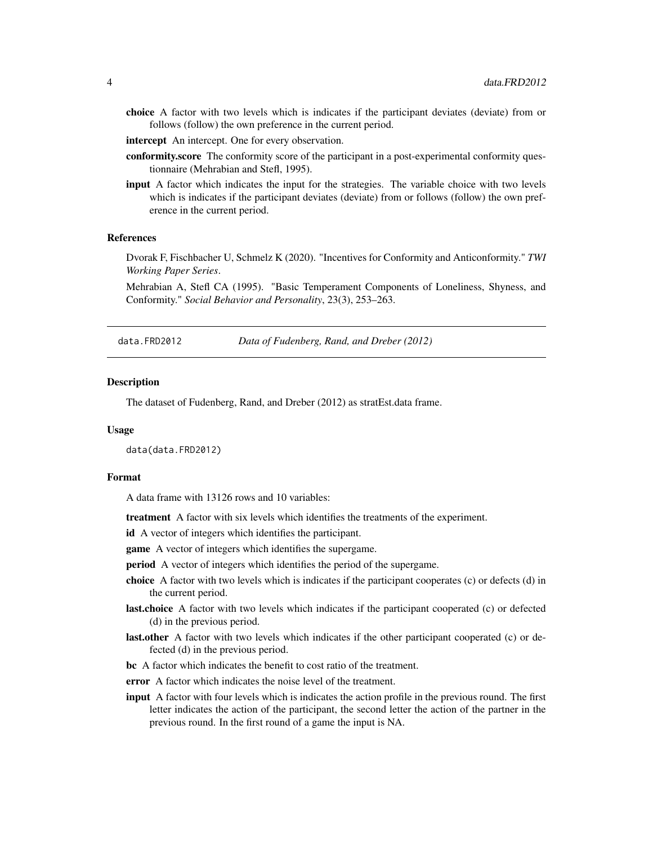- <span id="page-3-0"></span>choice A factor with two levels which is indicates if the participant deviates (deviate) from or follows (follow) the own preference in the current period.
- intercept An intercept. One for every observation.
- conformity.score The conformity score of the participant in a post-experimental conformity questionnaire (Mehrabian and Stefl, 1995).
- input A factor which indicates the input for the strategies. The variable choice with two levels which is indicates if the participant deviates (deviate) from or follows (follow) the own preference in the current period.

#### References

Dvorak F, Fischbacher U, Schmelz K (2020). "Incentives for Conformity and Anticonformity." *TWI Working Paper Series*.

Mehrabian A, Stefl CA (1995). "Basic Temperament Components of Loneliness, Shyness, and Conformity." *Social Behavior and Personality*, 23(3), 253–263.

data.FRD2012 *Data of Fudenberg, Rand, and Dreber (2012)*

#### **Description**

The dataset of Fudenberg, Rand, and Dreber (2012) as stratEst.data frame.

#### Usage

data(data.FRD2012)

#### Format

A data frame with 13126 rows and 10 variables:

treatment A factor with six levels which identifies the treatments of the experiment.

id A vector of integers which identifies the participant.

game A vector of integers which identifies the supergame.

**period** A vector of integers which identifies the period of the supergame.

- choice A factor with two levels which is indicates if the participant cooperates (c) or defects (d) in the current period.
- last.choice A factor with two levels which indicates if the participant cooperated (c) or defected (d) in the previous period.
- **last.other** A factor with two levels which indicates if the other participant cooperated (c) or defected (d) in the previous period.
- bc A factor which indicates the benefit to cost ratio of the treatment.
- error A factor which indicates the noise level of the treatment.
- input A factor with four levels which is indicates the action profile in the previous round. The first letter indicates the action of the participant, the second letter the action of the partner in the previous round. In the first round of a game the input is NA.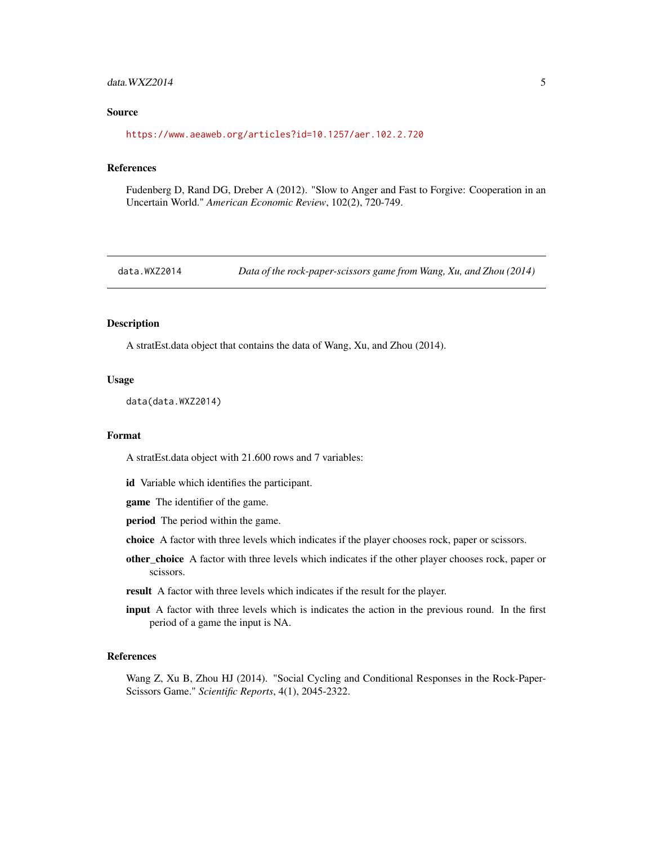#### <span id="page-4-0"></span> $data. WXZZ014$  5

#### Source

<https://www.aeaweb.org/articles?id=10.1257/aer.102.2.720>

#### References

Fudenberg D, Rand DG, Dreber A (2012). "Slow to Anger and Fast to Forgive: Cooperation in an Uncertain World." *American Economic Review*, 102(2), 720-749.

data.WXZ2014 *Data of the rock-paper-scissors game from Wang, Xu, and Zhou (2014)*

#### Description

A stratEst.data object that contains the data of Wang, Xu, and Zhou (2014).

#### Usage

```
data(data.WXZ2014)
```
#### Format

A stratEst.data object with 21.600 rows and 7 variables:

id Variable which identifies the participant.

game The identifier of the game.

period The period within the game.

- choice A factor with three levels which indicates if the player chooses rock, paper or scissors.
- other\_choice A factor with three levels which indicates if the other player chooses rock, paper or scissors.
- result A factor with three levels which indicates if the result for the player.
- input A factor with three levels which is indicates the action in the previous round. In the first period of a game the input is NA.

#### References

Wang Z, Xu B, Zhou HJ (2014). "Social Cycling and Conditional Responses in the Rock-Paper-Scissors Game." *Scientific Reports*, 4(1), 2045-2322.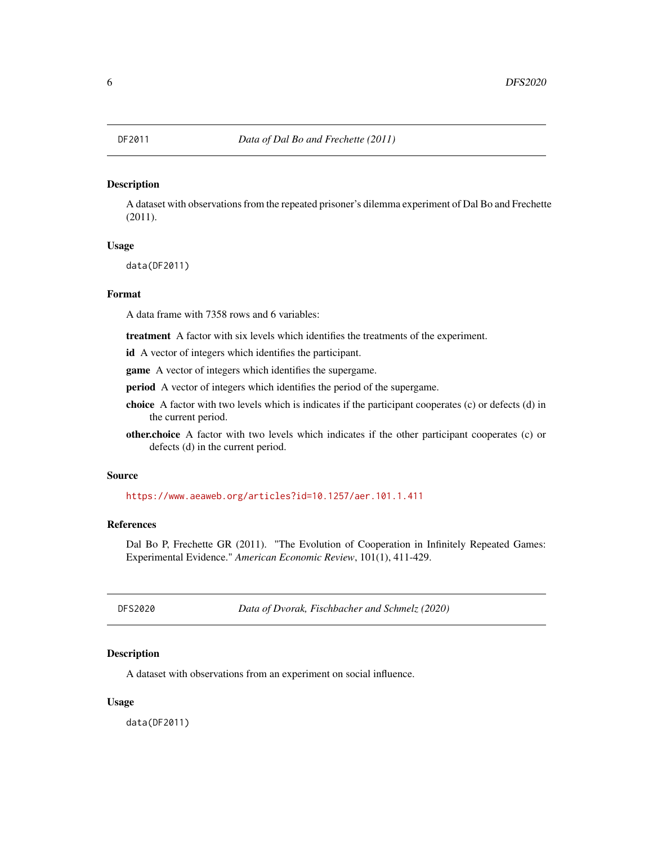<span id="page-5-0"></span>

#### Description

A dataset with observations from the repeated prisoner's dilemma experiment of Dal Bo and Frechette (2011).

#### Usage

data(DF2011)

#### Format

A data frame with 7358 rows and 6 variables:

treatment A factor with six levels which identifies the treatments of the experiment.

id A vector of integers which identifies the participant.

game A vector of integers which identifies the supergame.

period A vector of integers which identifies the period of the supergame.

- choice A factor with two levels which is indicates if the participant cooperates (c) or defects (d) in the current period.
- other.choice A factor with two levels which indicates if the other participant cooperates (c) or defects (d) in the current period.

#### Source

<https://www.aeaweb.org/articles?id=10.1257/aer.101.1.411>

#### References

Dal Bo P, Frechette GR (2011). "The Evolution of Cooperation in Infinitely Repeated Games: Experimental Evidence." *American Economic Review*, 101(1), 411-429.

DFS2020 *Data of Dvorak, Fischbacher and Schmelz (2020)*

#### Description

A dataset with observations from an experiment on social influence.

#### Usage

data(DF2011)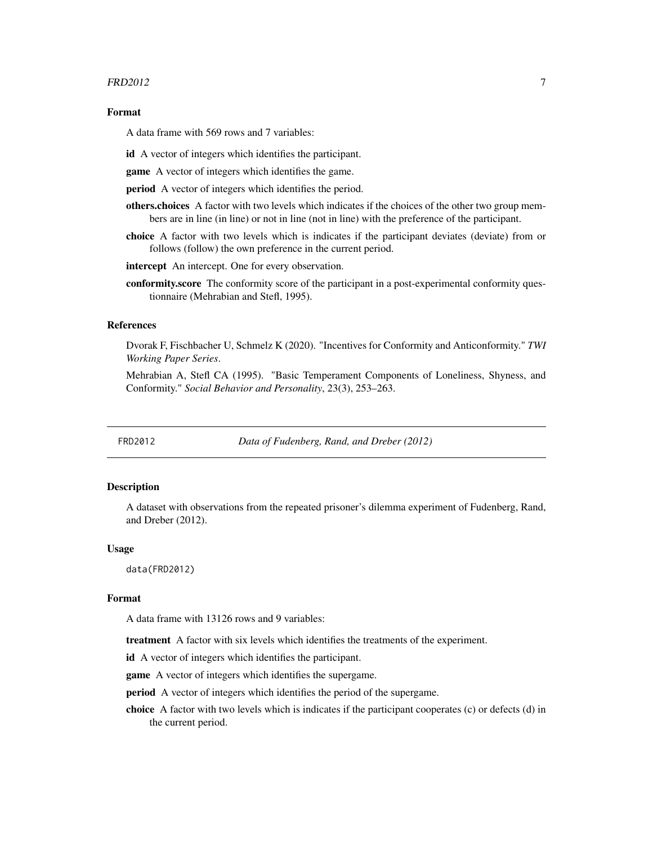#### <span id="page-6-0"></span> $FRD2012$   $7$

#### Format

A data frame with 569 rows and 7 variables:

id A vector of integers which identifies the participant.

game A vector of integers which identifies the game.

period A vector of integers which identifies the period.

- others.choices A factor with two levels which indicates if the choices of the other two group members are in line (in line) or not in line (not in line) with the preference of the participant.
- choice A factor with two levels which is indicates if the participant deviates (deviate) from or follows (follow) the own preference in the current period.

intercept An intercept. One for every observation.

conformity.score The conformity score of the participant in a post-experimental conformity questionnaire (Mehrabian and Stefl, 1995).

#### References

Dvorak F, Fischbacher U, Schmelz K (2020). "Incentives for Conformity and Anticonformity." *TWI Working Paper Series*.

Mehrabian A, Stefl CA (1995). "Basic Temperament Components of Loneliness, Shyness, and Conformity." *Social Behavior and Personality*, 23(3), 253–263.

FRD2012 *Data of Fudenberg, Rand, and Dreber (2012)*

#### Description

A dataset with observations from the repeated prisoner's dilemma experiment of Fudenberg, Rand, and Dreber (2012).

#### Usage

data(FRD2012)

#### Format

A data frame with 13126 rows and 9 variables:

treatment A factor with six levels which identifies the treatments of the experiment.

id A vector of integers which identifies the participant.

game A vector of integers which identifies the supergame.

period A vector of integers which identifies the period of the supergame.

choice A factor with two levels which is indicates if the participant cooperates (c) or defects (d) in the current period.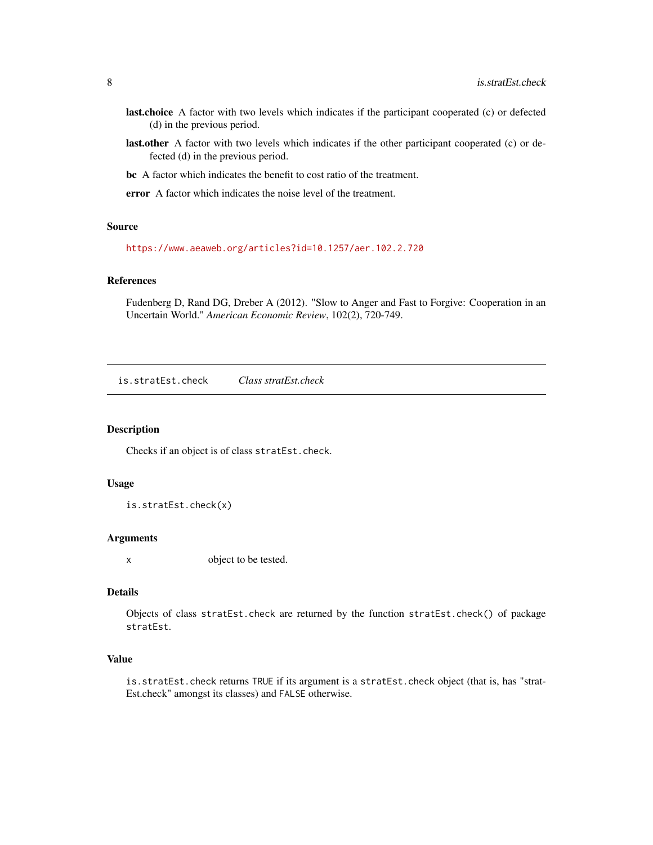- <span id="page-7-0"></span>last.choice A factor with two levels which indicates if the participant cooperated (c) or defected (d) in the previous period.
- last.other A factor with two levels which indicates if the other participant cooperated (c) or defected (d) in the previous period.
- bc A factor which indicates the benefit to cost ratio of the treatment.
- error A factor which indicates the noise level of the treatment.

#### Source

<https://www.aeaweb.org/articles?id=10.1257/aer.102.2.720>

#### References

Fudenberg D, Rand DG, Dreber A (2012). "Slow to Anger and Fast to Forgive: Cooperation in an Uncertain World." *American Economic Review*, 102(2), 720-749.

is.stratEst.check *Class stratEst.check*

#### Description

Checks if an object is of class stratEst.check.

#### Usage

is.stratEst.check(x)

#### Arguments

x object to be tested.

#### Details

Objects of class stratEst.check are returned by the function stratEst.check() of package stratEst.

#### Value

is.stratEst.check returns TRUE if its argument is a stratEst.check object (that is, has "strat-Est.check" amongst its classes) and FALSE otherwise.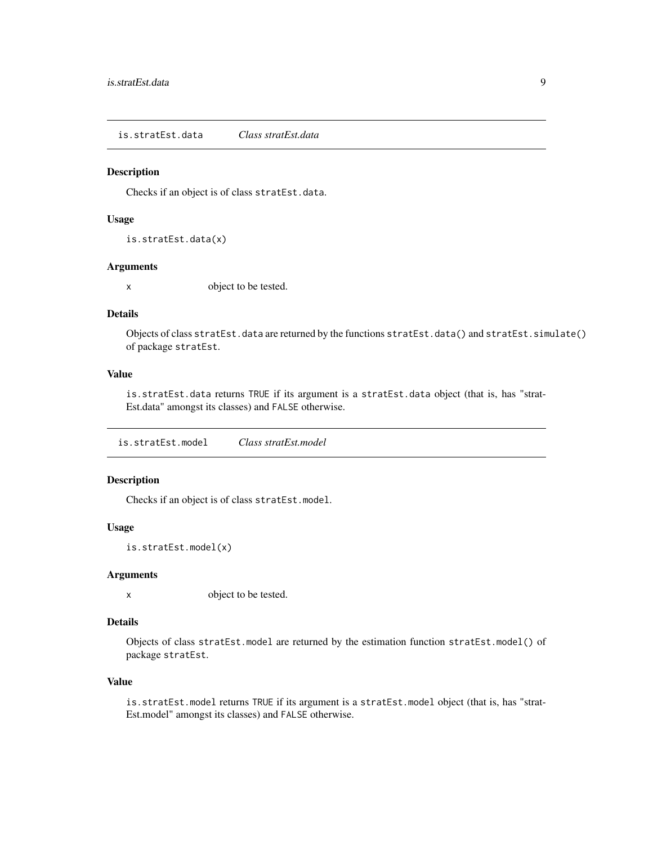<span id="page-8-0"></span>is.stratEst.data *Class stratEst.data*

#### Description

Checks if an object is of class stratEst.data.

#### Usage

is.stratEst.data(x)

#### Arguments

x object to be tested.

#### Details

Objects of class stratEst.data are returned by the functions stratEst.data() and stratEst.simulate() of package stratEst.

#### Value

is.stratEst.data returns TRUE if its argument is a stratEst.data object (that is, has "strat-Est.data" amongst its classes) and FALSE otherwise.

is.stratEst.model *Class stratEst.model*

#### Description

Checks if an object is of class stratEst.model.

#### Usage

is.stratEst.model(x)

#### Arguments

x object to be tested.

#### Details

Objects of class stratEst.model are returned by the estimation function stratEst.model() of package stratEst.

#### Value

is.stratEst.model returns TRUE if its argument is a stratEst.model object (that is, has "strat-Est.model" amongst its classes) and FALSE otherwise.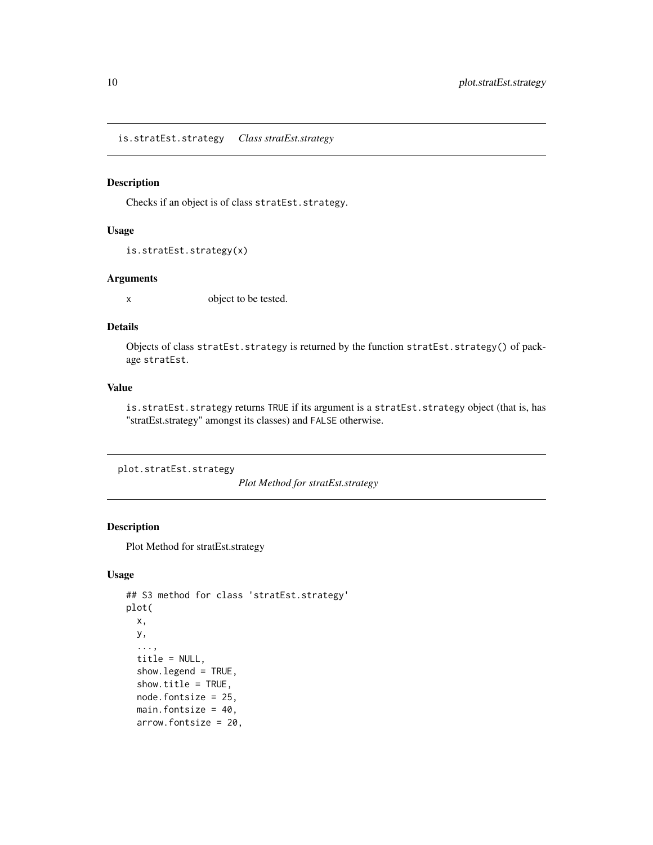<span id="page-9-0"></span>is.stratEst.strategy *Class stratEst.strategy*

#### Description

Checks if an object is of class stratEst.strategy.

#### Usage

```
is.stratEst.strategy(x)
```
#### Arguments

x object to be tested.

#### Details

Objects of class stratEst.strategy is returned by the function stratEst.strategy() of package stratEst.

#### Value

is.stratEst.strategy returns TRUE if its argument is a stratEst.strategy object (that is, has "stratEst.strategy" amongst its classes) and FALSE otherwise.

plot.stratEst.strategy

*Plot Method for stratEst.strategy*

#### Description

Plot Method for stratEst.strategy

#### Usage

```
## S3 method for class 'stratEst.strategy'
plot(
 x,
 y,
  ...,
  title = NULL,
  show.legend = TRUE,
  show.title = TRUE,
  node.fontsize = 25,
  main.fontsize = 40,
  arrow.fontsize = 20,
```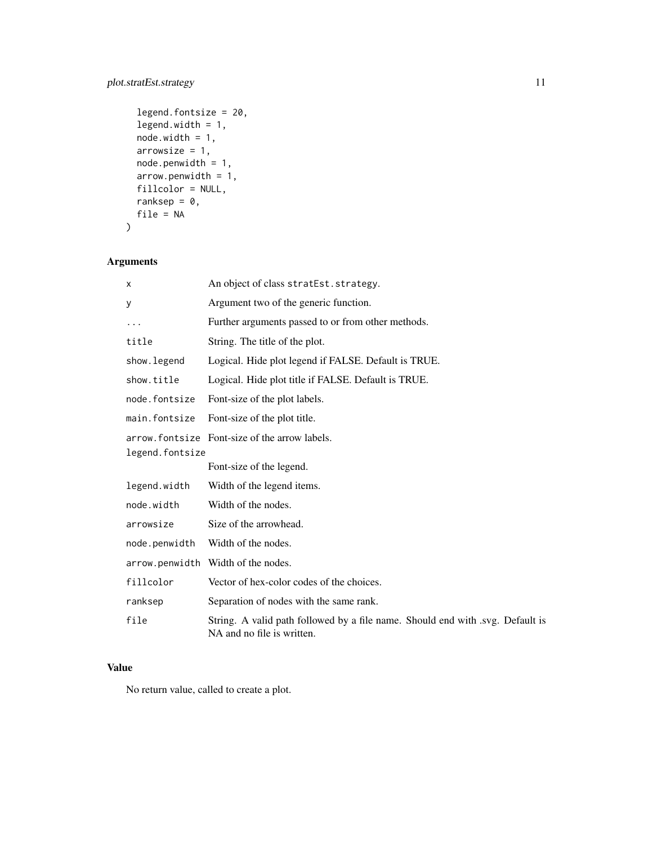#### plot.stratEst.strategy 11

```
legend.fontsize = 20,
legend.width = 1,
node.width = 1,arrowsize = 1,node.penwidth = 1,
arrow.penwidth = 1,
fillcolor = NULL,
ranksep = 0,file = NA
```
 $\mathcal{L}$ 

## Arguments

| X               | An object of class stratEst. strategy.                                                                       |
|-----------------|--------------------------------------------------------------------------------------------------------------|
| у               | Argument two of the generic function.                                                                        |
| $\cdots$        | Further arguments passed to or from other methods.                                                           |
| title           | String. The title of the plot.                                                                               |
| show. legend    | Logical. Hide plot legend if FALSE. Default is TRUE.                                                         |
| show.title      | Logical. Hide plot title if FALSE. Default is TRUE.                                                          |
| node.fontsize   | Font-size of the plot labels.                                                                                |
| main.fontsize   | Font-size of the plot title.                                                                                 |
| legend.fontsize | arrow.fontsize Font-size of the arrow labels.                                                                |
|                 | Font-size of the legend.                                                                                     |
| legend.width    | Width of the legend items.                                                                                   |
| node.width      | Width of the nodes.                                                                                          |
| arrowsize       | Size of the arrowhead.                                                                                       |
| node.penwidth   | Width of the nodes.                                                                                          |
|                 | arrow.penwidth Width of the nodes.                                                                           |
| fillcolor       | Vector of hex-color codes of the choices.                                                                    |
| ranksep         | Separation of nodes with the same rank.                                                                      |
| file            | String. A valid path followed by a file name. Should end with .svg. Default is<br>NA and no file is written. |

#### Value

No return value, called to create a plot.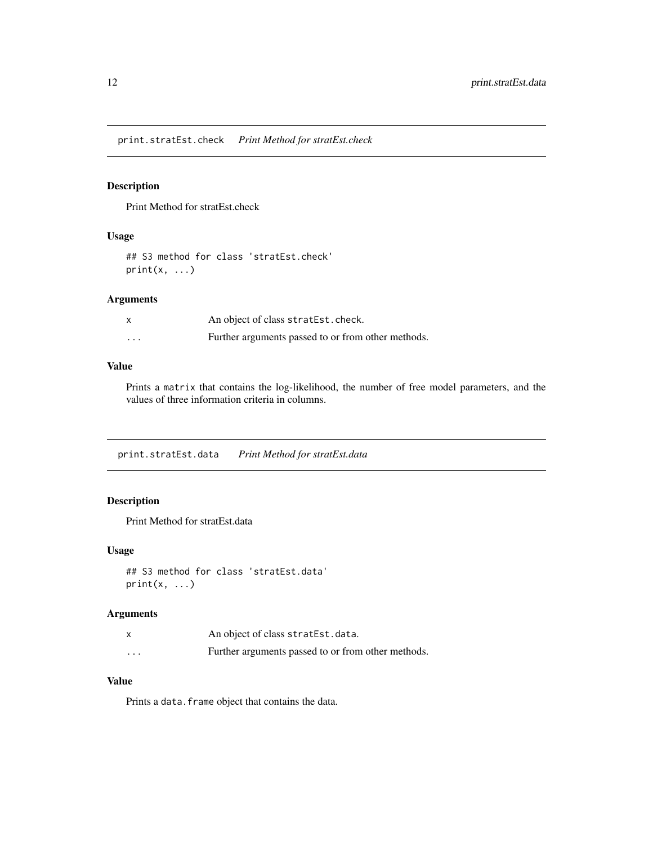<span id="page-11-0"></span>print.stratEst.check *Print Method for stratEst.check*

#### Description

Print Method for stratEst.check

#### Usage

## S3 method for class 'stratEst.check'  $print(x, \ldots)$ 

#### Arguments

|         | An object of class stratEst.check.                 |
|---------|----------------------------------------------------|
| $\cdot$ | Further arguments passed to or from other methods. |

#### Value

Prints a matrix that contains the log-likelihood, the number of free model parameters, and the values of three information criteria in columns.

print.stratEst.data *Print Method for stratEst.data*

## Description

Print Method for stratEst.data

#### Usage

```
## S3 method for class 'stratEst.data'
print(x, \ldots)
```
#### Arguments

|          | An object of class stratEst.data.                  |
|----------|----------------------------------------------------|
| $\cdots$ | Further arguments passed to or from other methods. |

#### Value

Prints a data. frame object that contains the data.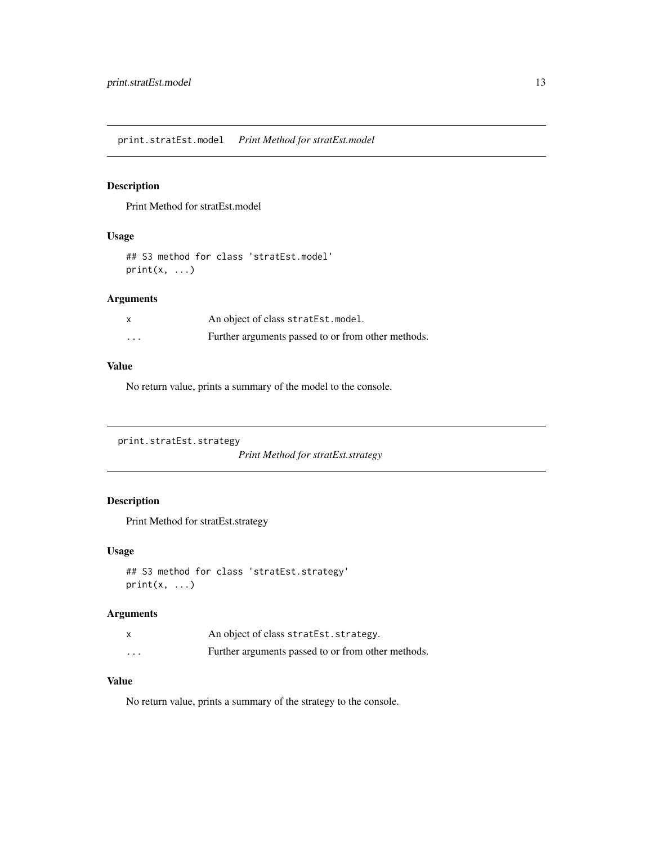<span id="page-12-0"></span>print.stratEst.model *Print Method for stratEst.model*

#### Description

Print Method for stratEst.model

#### Usage

```
## S3 method for class 'stratEst.model'
print(x, \ldots)
```
#### Arguments

|         | An object of class stratEst.model.                 |
|---------|----------------------------------------------------|
| $\cdot$ | Further arguments passed to or from other methods. |

#### Value

No return value, prints a summary of the model to the console.

```
print.stratEst.strategy
```
*Print Method for stratEst.strategy*

#### Description

Print Method for stratEst.strategy

#### Usage

```
## S3 method for class 'stratEst.strategy'
print(x, \ldots)
```
#### Arguments

|          | An object of class stratest. strategy.             |
|----------|----------------------------------------------------|
| $\cdots$ | Further arguments passed to or from other methods. |

#### Value

No return value, prints a summary of the strategy to the console.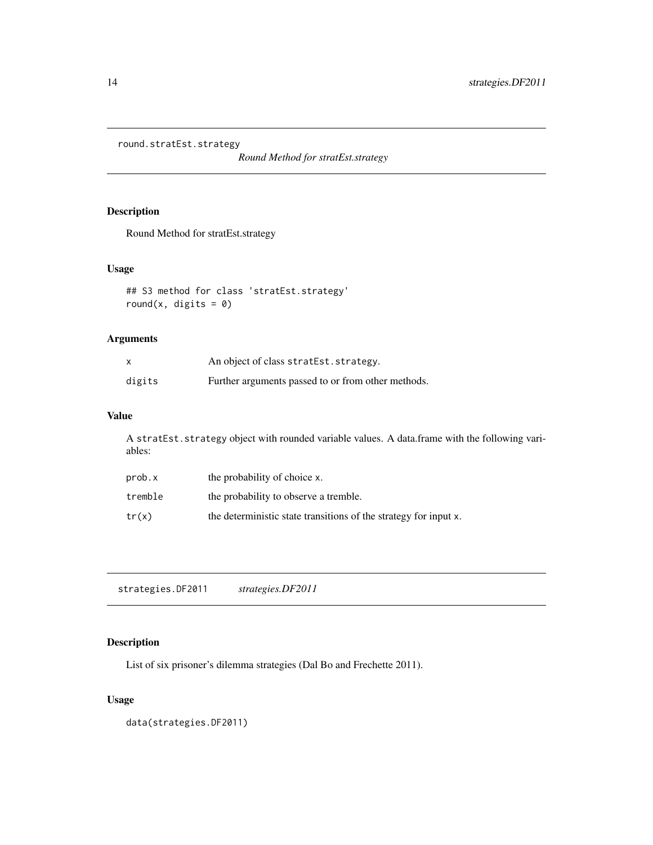<span id="page-13-0"></span>round.stratEst.strategy

*Round Method for stratEst.strategy*

#### Description

Round Method for stratEst.strategy

#### Usage

```
## S3 method for class 'stratEst.strategy'
round(x, digits = 0)
```
#### Arguments

| $\times$ | An object of class stratest. strategy.             |
|----------|----------------------------------------------------|
| digits   | Further arguments passed to or from other methods. |

#### Value

A stratEst.strategy object with rounded variable values. A data.frame with the following variables:

| prob.x  | the probability of choice x.                                     |
|---------|------------------------------------------------------------------|
| tremble | the probability to observe a tremble.                            |
| tr(x)   | the deterministic state transitions of the strategy for input x. |

strategies.DF2011 *strategies.DF2011*

#### Description

List of six prisoner's dilemma strategies (Dal Bo and Frechette 2011).

#### Usage

data(strategies.DF2011)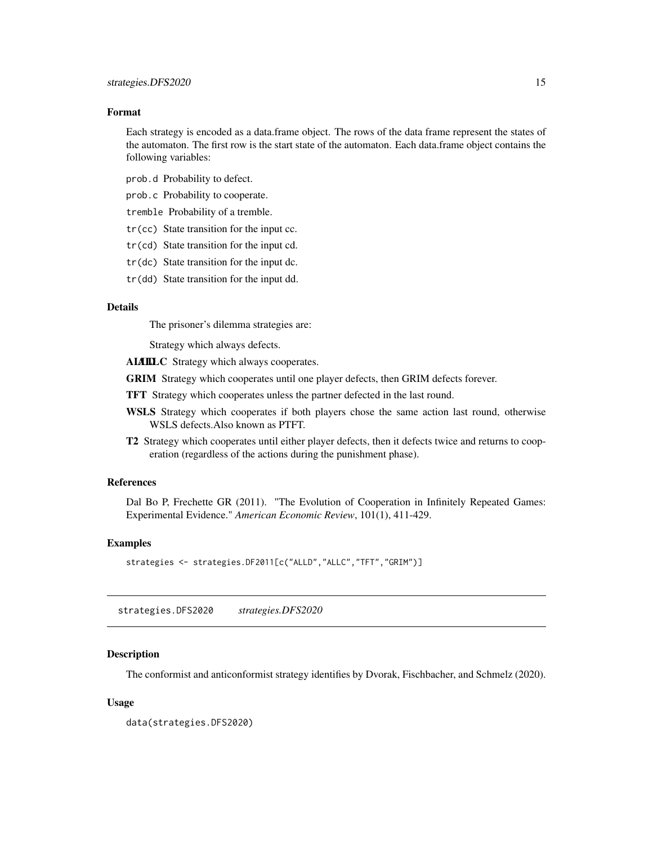<span id="page-14-0"></span>Each strategy is encoded as a data.frame object. The rows of the data frame represent the states of the automaton. The first row is the start state of the automaton. Each data.frame object contains the following variables:

prob.d Probability to defect.

prob.c Probability to cooperate.

tremble Probability of a tremble.

- tr(cc) State transition for the input cc.
- tr(cd) State transition for the input cd.
- tr(dc) State transition for the input dc.
- tr(dd) State transition for the input dd.

#### Details

The prisoner's dilemma strategies are:

Strategy which always defects.

ALAILLC Strategy which always cooperates.

GRIM Strategy which cooperates until one player defects, then GRIM defects forever.

TFT Strategy which cooperates unless the partner defected in the last round.

- WSLS Strategy which cooperates if both players chose the same action last round, otherwise WSLS defects.Also known as PTFT.
- T2 Strategy which cooperates until either player defects, then it defects twice and returns to cooperation (regardless of the actions during the punishment phase).

#### References

Dal Bo P, Frechette GR (2011). "The Evolution of Cooperation in Infinitely Repeated Games: Experimental Evidence." *American Economic Review*, 101(1), 411-429.

#### Examples

```
strategies <- strategies.DF2011[c("ALLD","ALLC","TFT","GRIM")]
```
strategies.DFS2020 *strategies.DFS2020*

#### Description

The conformist and anticonformist strategy identifies by Dvorak, Fischbacher, and Schmelz (2020).

#### Usage

data(strategies.DFS2020)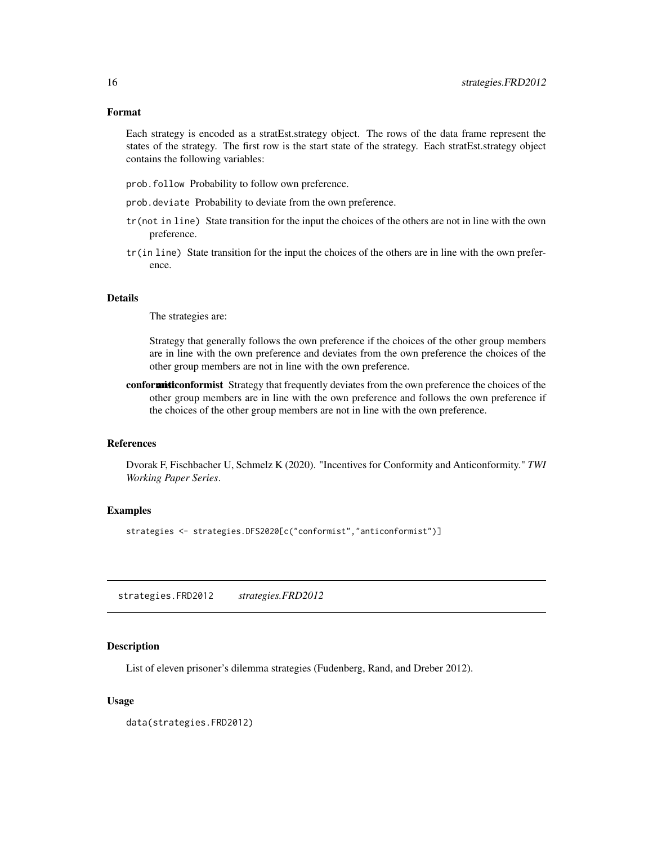<span id="page-15-0"></span>Each strategy is encoded as a stratEst.strategy object. The rows of the data frame represent the states of the strategy. The first row is the start state of the strategy. Each stratEst.strategy object contains the following variables:

- prob.follow Probability to follow own preference.
- prob.deviate Probability to deviate from the own preference.
- tr(not in line) State transition for the input the choices of the others are not in line with the own preference.
- tr(in line) State transition for the input the choices of the others are in line with the own preference.

#### Details

The strategies are:

Strategy that generally follows the own preference if the choices of the other group members are in line with the own preference and deviates from the own preference the choices of the other group members are not in line with the own preference.

conformist Strategy that frequently deviates from the own preference the choices of the other group members are in line with the own preference and follows the own preference if the choices of the other group members are not in line with the own preference.

#### **References**

Dvorak F, Fischbacher U, Schmelz K (2020). "Incentives for Conformity and Anticonformity." *TWI Working Paper Series*.

#### Examples

strategies <- strategies.DFS2020[c("conformist","anticonformist")]

strategies.FRD2012 *strategies.FRD2012*

#### Description

List of eleven prisoner's dilemma strategies (Fudenberg, Rand, and Dreber 2012).

#### Usage

data(strategies.FRD2012)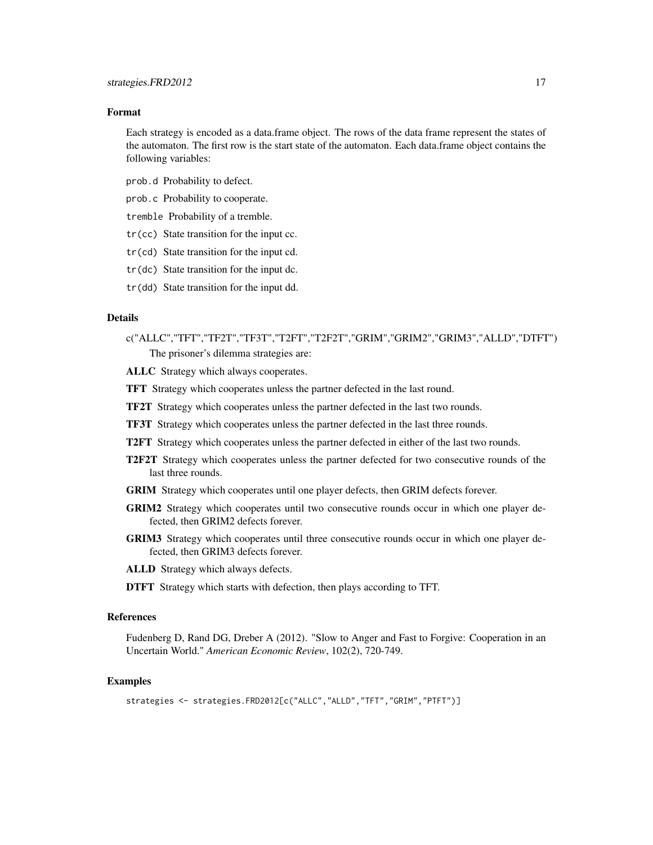Each strategy is encoded as a data.frame object. The rows of the data frame represent the states of the automaton. The first row is the start state of the automaton. Each data.frame object contains the following variables:

prob.d Probability to defect.

prob.c Probability to cooperate.

tremble Probability of a tremble.

- tr(cc) State transition for the input cc.
- tr(cd) State transition for the input cd.
- tr(dc) State transition for the input dc.
- tr(dd) State transition for the input dd.

#### Details

- c("ALLC","TFT","TF2T","TF3T","T2FT","T2F2T","GRIM","GRIM2","GRIM3","ALLD","DTFT") The prisoner's dilemma strategies are:
- ALLC Strategy which always cooperates.
- TFT Strategy which cooperates unless the partner defected in the last round.
- TF2T Strategy which cooperates unless the partner defected in the last two rounds.
- TF3T Strategy which cooperates unless the partner defected in the last three rounds.
- T2FT Strategy which cooperates unless the partner defected in either of the last two rounds.
- T2F2T Strategy which cooperates unless the partner defected for two consecutive rounds of the last three rounds.
- GRIM Strategy which cooperates until one player defects, then GRIM defects forever.
- GRIM2 Strategy which cooperates until two consecutive rounds occur in which one player defected, then GRIM2 defects forever.
- GRIM3 Strategy which cooperates until three consecutive rounds occur in which one player defected, then GRIM3 defects forever.
- ALLD Strategy which always defects.
- DTFT Strategy which starts with defection, then plays according to TFT.

#### References

Fudenberg D, Rand DG, Dreber A (2012). "Slow to Anger and Fast to Forgive: Cooperation in an Uncertain World." *American Economic Review*, 102(2), 720-749.

#### Examples

```
strategies <- strategies.FRD2012[c("ALLC","ALLD","TFT","GRIM","PTFT")]
```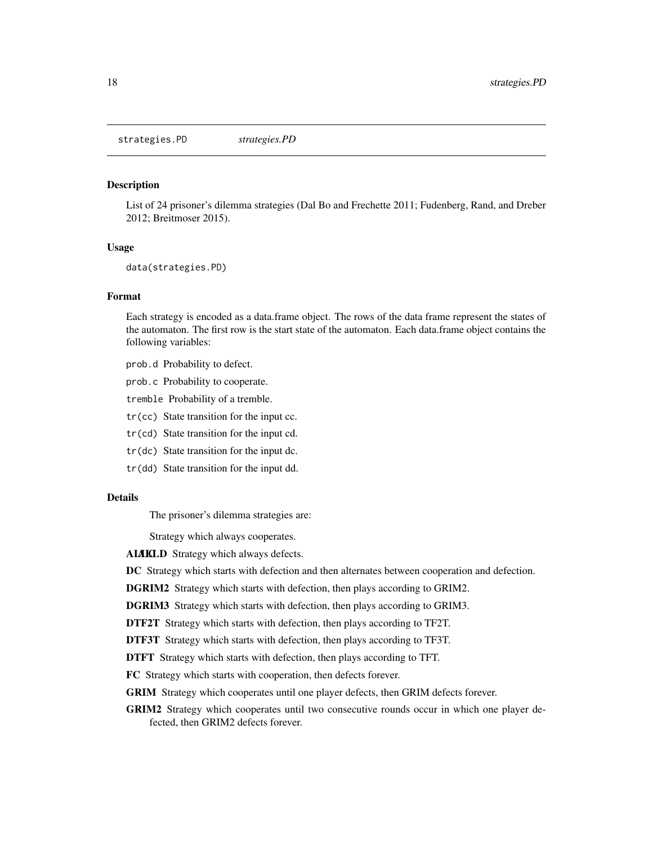<span id="page-17-0"></span>strategies.PD *strategies.PD*

#### Description

List of 24 prisoner's dilemma strategies (Dal Bo and Frechette 2011; Fudenberg, Rand, and Dreber 2012; Breitmoser 2015).

#### Usage

data(strategies.PD)

#### Format

Each strategy is encoded as a data.frame object. The rows of the data frame represent the states of the automaton. The first row is the start state of the automaton. Each data.frame object contains the following variables:

- prob.d Probability to defect.
- prob.c Probability to cooperate.
- tremble Probability of a tremble.
- tr(cc) State transition for the input cc.
- tr(cd) State transition for the input cd.
- tr(dc) State transition for the input dc.
- tr(dd) State transition for the input dd.

#### Details

The prisoner's dilemma strategies are:

Strategy which always cooperates.

ALAICLD Strategy which always defects.

DC Strategy which starts with defection and then alternates between cooperation and defection.

DGRIM2 Strategy which starts with defection, then plays according to GRIM2.

DGRIM3 Strategy which starts with defection, then plays according to GRIM3.

DTF2T Strategy which starts with defection, then plays according to TF2T.

DTF3T Strategy which starts with defection, then plays according to TF3T.

DTFT Strategy which starts with defection, then plays according to TFT.

FC Strategy which starts with cooperation, then defects forever.

GRIM Strategy which cooperates until one player defects, then GRIM defects forever.

GRIM2 Strategy which cooperates until two consecutive rounds occur in which one player defected, then GRIM2 defects forever.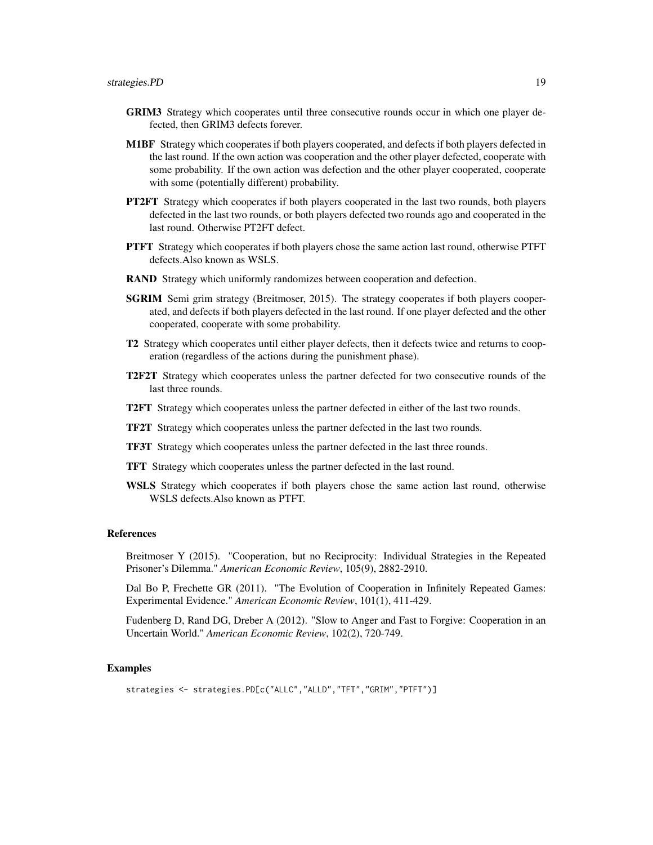- GRIM3 Strategy which cooperates until three consecutive rounds occur in which one player defected, then GRIM3 defects forever.
- M1BF Strategy which cooperates if both players cooperated, and defects if both players defected in the last round. If the own action was cooperation and the other player defected, cooperate with some probability. If the own action was defection and the other player cooperated, cooperate with some (potentially different) probability.
- **PT2FT** Strategy which cooperates if both players cooperated in the last two rounds, both players defected in the last two rounds, or both players defected two rounds ago and cooperated in the last round. Otherwise PT2FT defect.
- PTFT Strategy which cooperates if both players chose the same action last round, otherwise PTFT defects.Also known as WSLS.
- RAND Strategy which uniformly randomizes between cooperation and defection.
- SGRIM Semi grim strategy (Breitmoser, 2015). The strategy cooperates if both players cooperated, and defects if both players defected in the last round. If one player defected and the other cooperated, cooperate with some probability.
- T2 Strategy which cooperates until either player defects, then it defects twice and returns to cooperation (regardless of the actions during the punishment phase).
- T2F2T Strategy which cooperates unless the partner defected for two consecutive rounds of the last three rounds.
- T2FT Strategy which cooperates unless the partner defected in either of the last two rounds.
- TF2T Strategy which cooperates unless the partner defected in the last two rounds.
- TF3T Strategy which cooperates unless the partner defected in the last three rounds.
- TFT Strategy which cooperates unless the partner defected in the last round.
- WSLS Strategy which cooperates if both players chose the same action last round, otherwise WSLS defects.Also known as PTFT.

#### References

Breitmoser Y (2015). "Cooperation, but no Reciprocity: Individual Strategies in the Repeated Prisoner's Dilemma." *American Economic Review*, 105(9), 2882-2910.

Dal Bo P, Frechette GR (2011). "The Evolution of Cooperation in Infinitely Repeated Games: Experimental Evidence." *American Economic Review*, 101(1), 411-429.

Fudenberg D, Rand DG, Dreber A (2012). "Slow to Anger and Fast to Forgive: Cooperation in an Uncertain World." *American Economic Review*, 102(2), 720-749.

#### Examples

```
strategies <- strategies.PD[c("ALLC","ALLD","TFT","GRIM","PTFT")]
```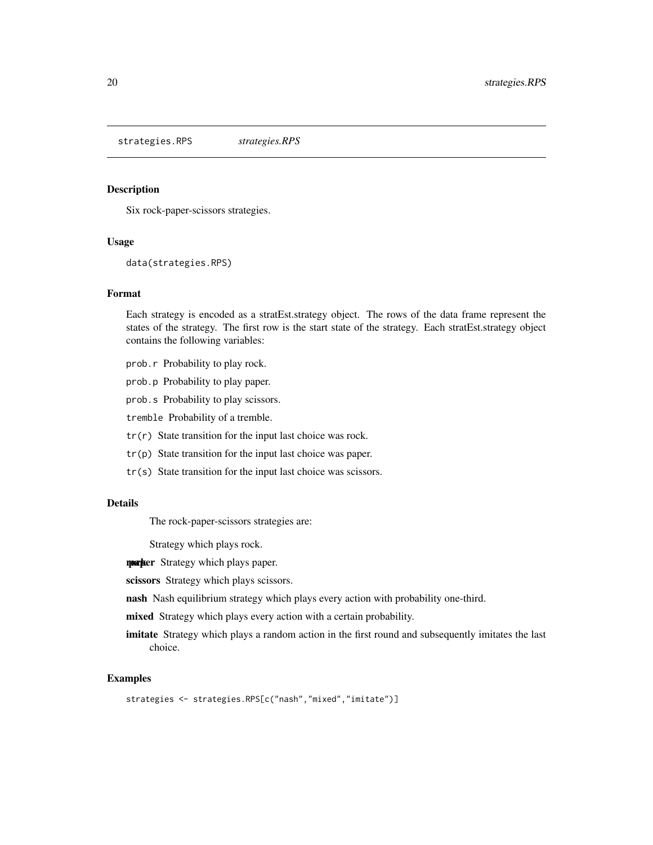<span id="page-19-0"></span>strategies.RPS *strategies.RPS*

#### Description

Six rock-paper-scissors strategies.

#### Usage

data(strategies.RPS)

#### Format

Each strategy is encoded as a stratEst.strategy object. The rows of the data frame represent the states of the strategy. The first row is the start state of the strategy. Each stratEst.strategy object contains the following variables:

- prob.r Probability to play rock.
- prob.p Probability to play paper.
- prob.s Probability to play scissors.
- tremble Probability of a tremble.
- tr(r) State transition for the input last choice was rock.
- tr(p) State transition for the input last choice was paper.
- tr(s) State transition for the input last choice was scissors.

#### Details

The rock-paper-scissors strategies are:

Strategy which plays rock.

**rocker** Strategy which plays paper.

scissors Strategy which plays scissors.

nash Nash equilibrium strategy which plays every action with probability one-third.

mixed Strategy which plays every action with a certain probability.

imitate Strategy which plays a random action in the first round and subsequently imitates the last choice.

#### Examples

strategies <- strategies.RPS[c("nash","mixed","imitate")]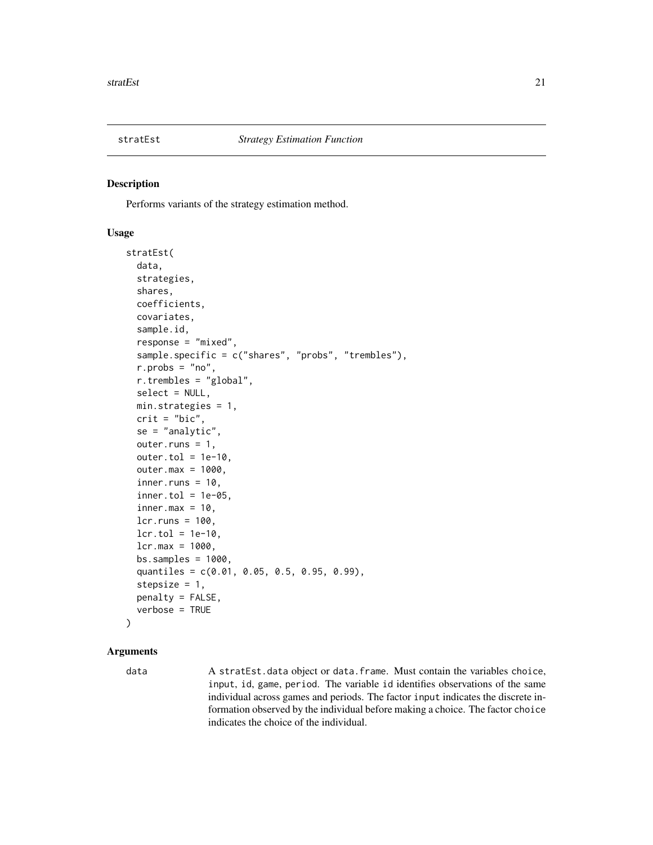<span id="page-20-0"></span>

#### Description

Performs variants of the strategy estimation method.

#### Usage

```
stratEst(
  data,
  strategies,
  shares,
  coefficients,
  covariates,
  sample.id,
  response = "mixed",
  sample.specific = c("shares", "probs", "trembles"),
  r.probs = "no",
  r.trembles = "global",
  select = NULL,
 min.strategies = 1,
  crit = "bic",
  se = "analytic",
  outer.runs = 1,outer.tol = 1e-10,outer.max = 1000,inner.runs = 10,inner.tol = 1e-05,
  inner.max = 10,lcr.runs = 100,lcr.tol = 1e-10,lcr.max = 1000,bs.samples = 1000,quantiles = c(0.01, 0.05, 0.5, 0.95, 0.99),
  stepsize = 1,
  penalty = FALSE,
  verbose = TRUE
)
```
#### Arguments

data A stratEst.data object or data.frame. Must contain the variables choice, input, id, game, period. The variable id identifies observations of the same individual across games and periods. The factor input indicates the discrete information observed by the individual before making a choice. The factor choice indicates the choice of the individual.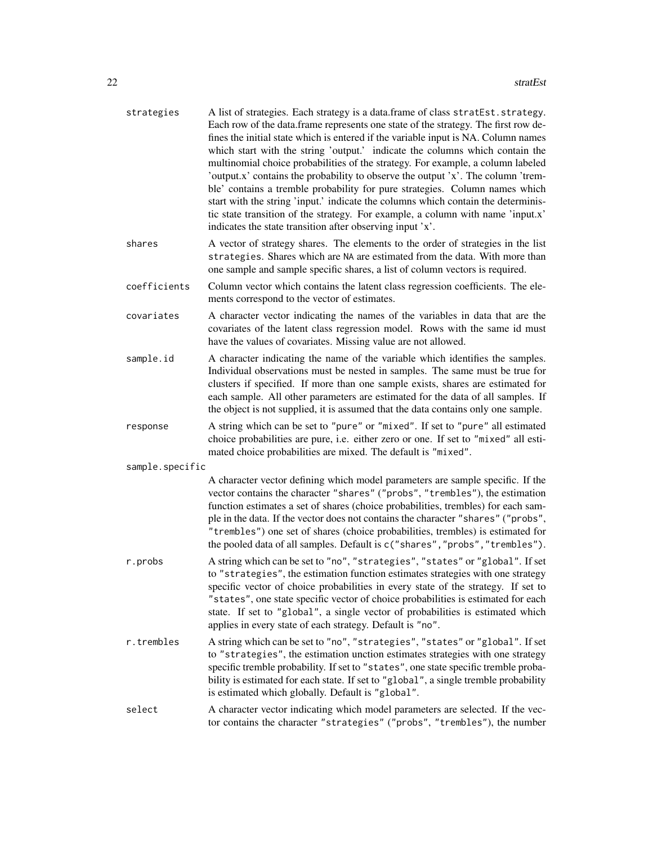| strategies      | A list of strategies. Each strategy is a data.frame of class stratEst.strategy.<br>Each row of the data.frame represents one state of the strategy. The first row de-<br>fines the initial state which is entered if the variable input is NA. Column names<br>which start with the string 'output.' indicate the columns which contain the<br>multinomial choice probabilities of the strategy. For example, a column labeled<br>'output.x' contains the probability to observe the output 'x'. The column 'trem-<br>ble' contains a tremble probability for pure strategies. Column names which<br>start with the string 'input.' indicate the columns which contain the determinis-<br>tic state transition of the strategy. For example, a column with name 'input.x'<br>indicates the state transition after observing input 'x'. |
|-----------------|----------------------------------------------------------------------------------------------------------------------------------------------------------------------------------------------------------------------------------------------------------------------------------------------------------------------------------------------------------------------------------------------------------------------------------------------------------------------------------------------------------------------------------------------------------------------------------------------------------------------------------------------------------------------------------------------------------------------------------------------------------------------------------------------------------------------------------------|
| shares          | A vector of strategy shares. The elements to the order of strategies in the list<br>strategies. Shares which are NA are estimated from the data. With more than<br>one sample and sample specific shares, a list of column vectors is required.                                                                                                                                                                                                                                                                                                                                                                                                                                                                                                                                                                                        |
| coefficients    | Column vector which contains the latent class regression coefficients. The ele-<br>ments correspond to the vector of estimates.                                                                                                                                                                                                                                                                                                                                                                                                                                                                                                                                                                                                                                                                                                        |
| covariates      | A character vector indicating the names of the variables in data that are the<br>covariates of the latent class regression model. Rows with the same id must<br>have the values of covariates. Missing value are not allowed.                                                                                                                                                                                                                                                                                                                                                                                                                                                                                                                                                                                                          |
| sample.id       | A character indicating the name of the variable which identifies the samples.<br>Individual observations must be nested in samples. The same must be true for<br>clusters if specified. If more than one sample exists, shares are estimated for<br>each sample. All other parameters are estimated for the data of all samples. If<br>the object is not supplied, it is assumed that the data contains only one sample.                                                                                                                                                                                                                                                                                                                                                                                                               |
| response        | A string which can be set to "pure" or "mixed". If set to "pure" all estimated<br>choice probabilities are pure, i.e. either zero or one. If set to "mixed" all esti-<br>mated choice probabilities are mixed. The default is "mixed".                                                                                                                                                                                                                                                                                                                                                                                                                                                                                                                                                                                                 |
| sample.specific |                                                                                                                                                                                                                                                                                                                                                                                                                                                                                                                                                                                                                                                                                                                                                                                                                                        |
|                 | A character vector defining which model parameters are sample specific. If the<br>vector contains the character "shares" ("probs", "trembles"), the estimation<br>function estimates a set of shares (choice probabilities, trembles) for each sam-<br>ple in the data. If the vector does not contains the character "shares" ("probs",<br>"trembles") one set of shares (choice probabilities, trembles) is estimated for<br>the pooled data of all samples. Default is c("shares", "probs", "trembles").                                                                                                                                                                                                                                                                                                                            |
| r.probs         | A string which can be set to "no", "strategies", "states" or "global". If set<br>to "strategies", the estimation function estimates strategies with one strategy<br>specific vector of choice probabilities in every state of the strategy. If set to<br>"states", one state specific vector of choice probabilities is estimated for each<br>state. If set to "global", a single vector of probabilities is estimated which<br>applies in every state of each strategy. Default is "no".                                                                                                                                                                                                                                                                                                                                              |
| r.trembles      | A string which can be set to "no", "strategies", "states" or "global". If set<br>to "strategies", the estimation unction estimates strategies with one strategy<br>specific tremble probability. If set to "states", one state specific tremble proba-<br>bility is estimated for each state. If set to "global", a single tremble probability<br>is estimated which globally. Default is "global".                                                                                                                                                                                                                                                                                                                                                                                                                                    |
| select          | A character vector indicating which model parameters are selected. If the vec-<br>tor contains the character "strategies" ("probs", "trembles"), the number                                                                                                                                                                                                                                                                                                                                                                                                                                                                                                                                                                                                                                                                            |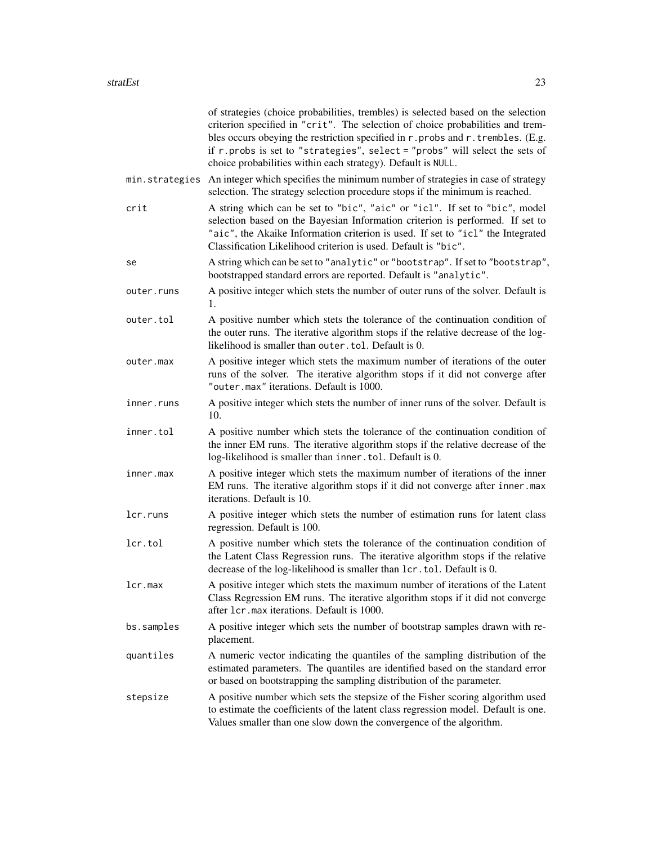|                | of strategies (choice probabilities, trembles) is selected based on the selection<br>criterion specified in "crit". The selection of choice probabilities and trem-<br>bles occurs obeying the restriction specified in r. probs and r. trembles. (E.g.<br>if $r$ . probs is set to "strategies", select = "probs" will select the sets of<br>choice probabilities within each strategy). Default is NULL. |
|----------------|------------------------------------------------------------------------------------------------------------------------------------------------------------------------------------------------------------------------------------------------------------------------------------------------------------------------------------------------------------------------------------------------------------|
| min.strategies | An integer which specifies the minimum number of strategies in case of strategy<br>selection. The strategy selection procedure stops if the minimum is reached.                                                                                                                                                                                                                                            |
| crit           | A string which can be set to "bic", "aic" or "icl". If set to "bic", model<br>selection based on the Bayesian Information criterion is performed. If set to<br>"aic", the Akaike Information criterion is used. If set to "icl" the Integrated<br>Classification Likelihood criterion is used. Default is "bic".                                                                                           |
| se             | A string which can be set to "analytic" or "bootstrap". If set to "bootstrap",<br>bootstrapped standard errors are reported. Default is "analytic".                                                                                                                                                                                                                                                        |
| outer.runs     | A positive integer which stets the number of outer runs of the solver. Default is<br>1.                                                                                                                                                                                                                                                                                                                    |
| outer.tol      | A positive number which stets the tolerance of the continuation condition of<br>the outer runs. The iterative algorithm stops if the relative decrease of the log-<br>likelihood is smaller than outer . tol. Default is 0.                                                                                                                                                                                |
| outer.max      | A positive integer which stets the maximum number of iterations of the outer<br>runs of the solver. The iterative algorithm stops if it did not converge after<br>"outer.max" iterations. Default is 1000.                                                                                                                                                                                                 |
| inner.runs     | A positive integer which stets the number of inner runs of the solver. Default is<br>10.                                                                                                                                                                                                                                                                                                                   |
| inner.tol      | A positive number which stets the tolerance of the continuation condition of<br>the inner EM runs. The iterative algorithm stops if the relative decrease of the<br>log-likelihood is smaller than inner. tol. Default is 0.                                                                                                                                                                               |
| inner.max      | A positive integer which stets the maximum number of iterations of the inner<br>EM runs. The iterative algorithm stops if it did not converge after inner.max<br>iterations. Default is 10.                                                                                                                                                                                                                |
| lcr.runs       | A positive integer which stets the number of estimation runs for latent class<br>regression. Default is 100.                                                                                                                                                                                                                                                                                               |
| lcr.tol        | A positive number which stets the tolerance of the continuation condition of<br>the Latent Class Regression runs. The iterative algorithm stops if the relative<br>decrease of the log-likelihood is smaller than lcr.tol. Default is 0.                                                                                                                                                                   |
| lcr.max        | A positive integer which stets the maximum number of iterations of the Latent<br>Class Regression EM runs. The iterative algorithm stops if it did not converge<br>after 1cr.max iterations. Default is 1000.                                                                                                                                                                                              |
| bs.samples     | A positive integer which sets the number of bootstrap samples drawn with re-<br>placement.                                                                                                                                                                                                                                                                                                                 |
| quantiles      | A numeric vector indicating the quantiles of the sampling distribution of the<br>estimated parameters. The quantiles are identified based on the standard error<br>or based on bootstrapping the sampling distribution of the parameter.                                                                                                                                                                   |
| stepsize       | A positive number which sets the stepsize of the Fisher scoring algorithm used<br>to estimate the coefficients of the latent class regression model. Default is one.<br>Values smaller than one slow down the convergence of the algorithm.                                                                                                                                                                |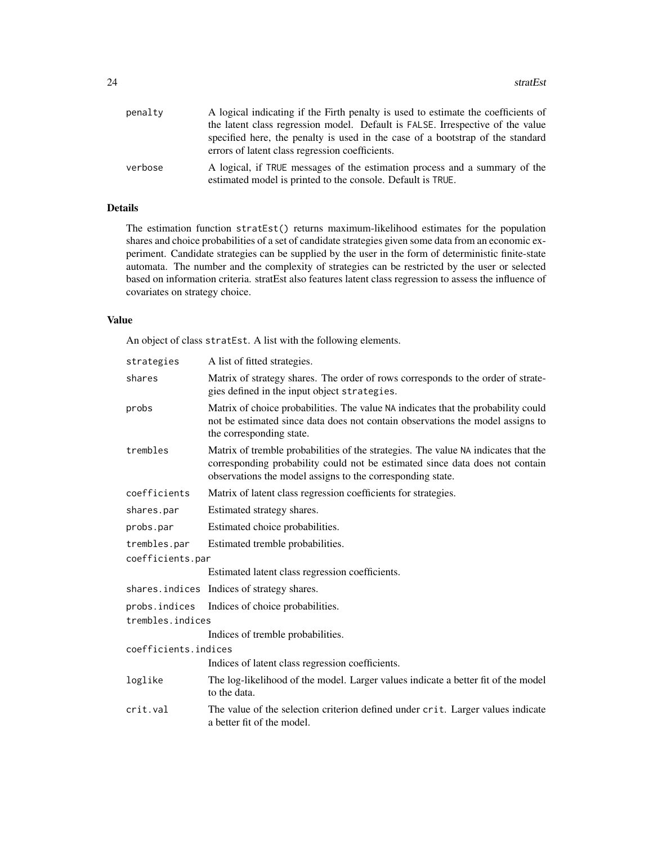| penalty | A logical indicating if the Firth penalty is used to estimate the coefficients of                                                         |
|---------|-------------------------------------------------------------------------------------------------------------------------------------------|
|         | the latent class regression model. Default is FALSE. Irrespective of the value                                                            |
|         | specified here, the penalty is used in the case of a bootstrap of the standard<br>errors of latent class regression coefficients.         |
| verbose | A logical, if TRUE messages of the estimation process and a summary of the<br>estimated model is printed to the console. Default is TRUE. |

#### Details

The estimation function stratEst() returns maximum-likelihood estimates for the population shares and choice probabilities of a set of candidate strategies given some data from an economic experiment. Candidate strategies can be supplied by the user in the form of deterministic finite-state automata. The number and the complexity of strategies can be restricted by the user or selected based on information criteria. stratEst also features latent class regression to assess the influence of covariates on strategy choice.

#### Value

An object of class stratEst. A list with the following elements.

| strategies           | A list of fitted strategies.                                                                                                                                                                                                     |
|----------------------|----------------------------------------------------------------------------------------------------------------------------------------------------------------------------------------------------------------------------------|
| shares               | Matrix of strategy shares. The order of rows corresponds to the order of strate-<br>gies defined in the input object strategies.                                                                                                 |
| probs                | Matrix of choice probabilities. The value NA indicates that the probability could<br>not be estimated since data does not contain observations the model assigns to<br>the corresponding state.                                  |
| trembles             | Matrix of tremble probabilities of the strategies. The value NA indicates that the<br>corresponding probability could not be estimated since data does not contain<br>observations the model assigns to the corresponding state. |
| coefficients         | Matrix of latent class regression coefficients for strategies.                                                                                                                                                                   |
| shares.par           | Estimated strategy shares.                                                                                                                                                                                                       |
| probs.par            | Estimated choice probabilities.                                                                                                                                                                                                  |
| trembles.par         | Estimated tremble probabilities.                                                                                                                                                                                                 |
| coefficients.par     |                                                                                                                                                                                                                                  |
|                      | Estimated latent class regression coefficients.                                                                                                                                                                                  |
|                      | shares. indices Indices of strategy shares.                                                                                                                                                                                      |
| probs.indices        | Indices of choice probabilities.                                                                                                                                                                                                 |
| trembles.indices     |                                                                                                                                                                                                                                  |
|                      | Indices of tremble probabilities.                                                                                                                                                                                                |
| coefficients.indices |                                                                                                                                                                                                                                  |
|                      | Indices of latent class regression coefficients.                                                                                                                                                                                 |
| loglike              | The log-likelihood of the model. Larger values indicate a better fit of the model<br>to the data.                                                                                                                                |
| crit.val             | The value of the selection criterion defined under crit. Larger values indicate<br>a better fit of the model.                                                                                                                    |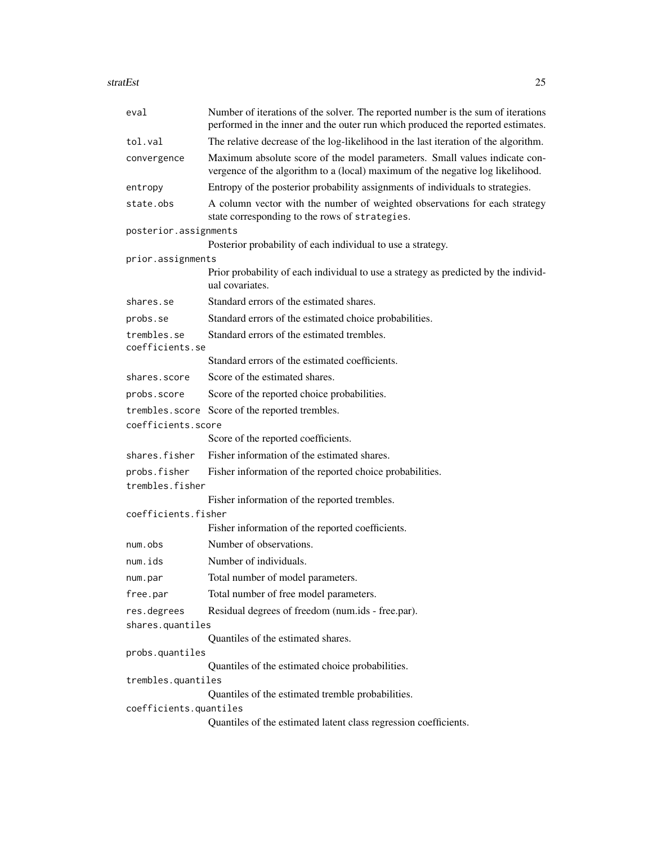| stratEst | 25 |  |
|----------|----|--|
|          |    |  |

| eval                            | Number of iterations of the solver. The reported number is the sum of iterations<br>performed in the inner and the outer run which produced the reported estimates. |
|---------------------------------|---------------------------------------------------------------------------------------------------------------------------------------------------------------------|
| tol.val                         | The relative decrease of the log-likelihood in the last iteration of the algorithm.                                                                                 |
| convergence                     | Maximum absolute score of the model parameters. Small values indicate con-<br>vergence of the algorithm to a (local) maximum of the negative log likelihood.        |
| entropy                         | Entropy of the posterior probability assignments of individuals to strategies.                                                                                      |
| state.obs                       | A column vector with the number of weighted observations for each strategy<br>state corresponding to the rows of strategies.                                        |
| posterior.assignments           |                                                                                                                                                                     |
|                                 | Posterior probability of each individual to use a strategy.                                                                                                         |
| prior.assignments               |                                                                                                                                                                     |
|                                 | Prior probability of each individual to use a strategy as predicted by the individ-<br>ual covariates.                                                              |
| shares.se                       | Standard errors of the estimated shares.                                                                                                                            |
| probs.se                        | Standard errors of the estimated choice probabilities.                                                                                                              |
| trembles.se<br>coefficients.se  | Standard errors of the estimated trembles.                                                                                                                          |
|                                 | Standard errors of the estimated coefficients.                                                                                                                      |
| shares.score                    | Score of the estimated shares.                                                                                                                                      |
| probs.score                     | Score of the reported choice probabilities.                                                                                                                         |
|                                 | trembles. score Score of the reported trembles.                                                                                                                     |
| coefficients.score              |                                                                                                                                                                     |
|                                 | Score of the reported coefficients.                                                                                                                                 |
| shares.fisher                   | Fisher information of the estimated shares.                                                                                                                         |
| probs.fisher<br>trembles.fisher | Fisher information of the reported choice probabilities.                                                                                                            |
|                                 | Fisher information of the reported trembles.                                                                                                                        |
| coefficients.fisher             |                                                                                                                                                                     |
|                                 | Fisher information of the reported coefficients.                                                                                                                    |
| num.obs                         | Number of observations.                                                                                                                                             |
| num.ids                         | Number of individuals.                                                                                                                                              |
| num.par                         | Total number of model parameters.                                                                                                                                   |
| free.par                        | Total number of free model parameters.                                                                                                                              |
| res.degrees                     | Residual degrees of freedom (num.ids - free.par).                                                                                                                   |
| shares.quantiles                |                                                                                                                                                                     |
|                                 | Quantiles of the estimated shares.                                                                                                                                  |
| probs.quantiles                 |                                                                                                                                                                     |
| trembles.quantiles              | Quantiles of the estimated choice probabilities.                                                                                                                    |
|                                 | Quantiles of the estimated tremble probabilities.                                                                                                                   |
| coefficients.quantiles          |                                                                                                                                                                     |
|                                 | Quantiles of the estimated latent class regression coefficients.                                                                                                    |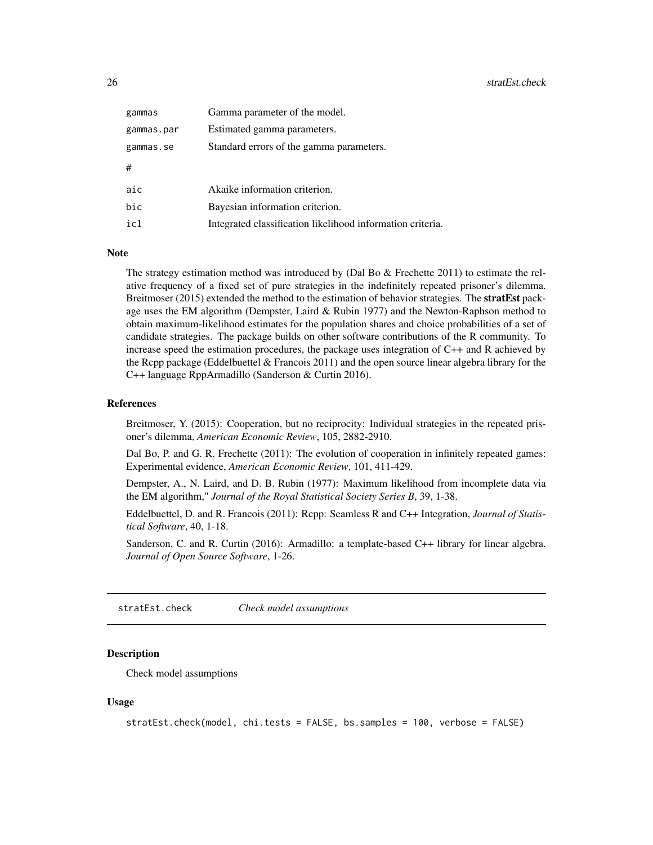<span id="page-25-0"></span>

| gammas     | Gamma parameter of the model.                              |
|------------|------------------------------------------------------------|
| gammas.par | Estimated gamma parameters.                                |
| gammas.se  | Standard errors of the gamma parameters.                   |
| #          |                                                            |
| aic        | Akaike information criterion.                              |
| bic        | Bayesian information criterion.                            |
| icl        | Integrated classification likelihood information criteria. |

#### **Note**

The strategy estimation method was introduced by (Dal Bo & Frechette 2011) to estimate the relative frequency of a fixed set of pure strategies in the indefinitely repeated prisoner's dilemma. Breitmoser (2015) extended the method to the estimation of behavior strategies. The **stratEst** package uses the EM algorithm (Dempster, Laird & Rubin 1977) and the Newton-Raphson method to obtain maximum-likelihood estimates for the population shares and choice probabilities of a set of candidate strategies. The package builds on other software contributions of the R community. To increase speed the estimation procedures, the package uses integration of C++ and R achieved by the Rcpp package (Eddelbuettel & Francois 2011) and the open source linear algebra library for the C++ language RppArmadillo (Sanderson & Curtin 2016).

#### References

Breitmoser, Y. (2015): Cooperation, but no reciprocity: Individual strategies in the repeated prisoner's dilemma, *American Economic Review*, 105, 2882-2910.

Dal Bo, P. and G. R. Frechette (2011): The evolution of cooperation in infinitely repeated games: Experimental evidence, *American Economic Review*, 101, 411-429.

Dempster, A., N. Laird, and D. B. Rubin (1977): Maximum likelihood from incomplete data via the EM algorithm," *Journal of the Royal Statistical Society Series B*, 39, 1-38.

Eddelbuettel, D. and R. Francois (2011): Rcpp: Seamless R and C++ Integration, *Journal of Statistical Software*, 40, 1-18.

Sanderson, C. and R. Curtin (2016): Armadillo: a template-based C++ library for linear algebra. *Journal of Open Source Software*, 1-26.

stratEst.check *Check model assumptions*

#### **Description**

Check model assumptions

#### Usage

```
stratEst.check(model, chi.tests = FALSE, bs.samples = 100, verbose = FALSE)
```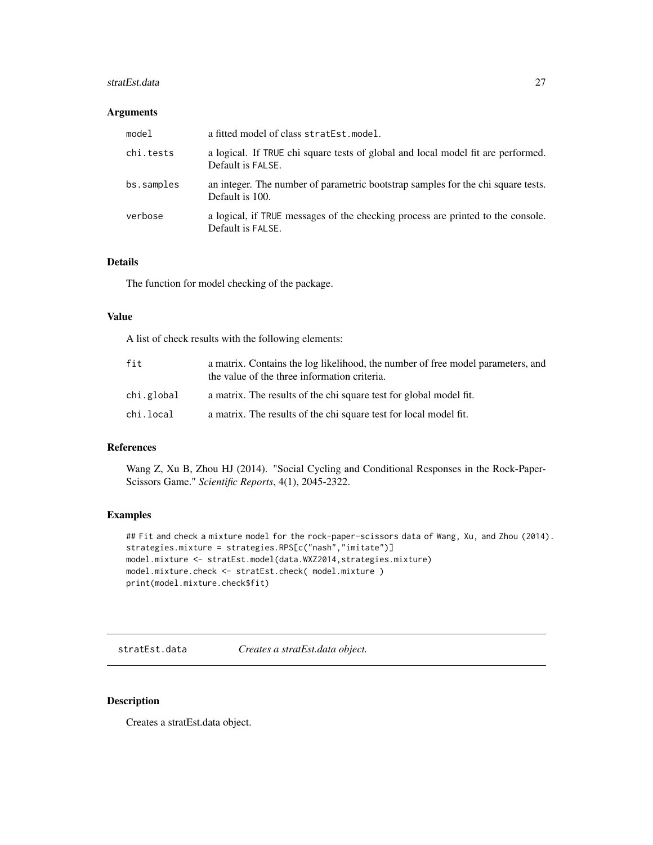#### <span id="page-26-0"></span>stratEst.data 27

#### Arguments

| model      | a fitted model of class stratEst.model.                                                               |
|------------|-------------------------------------------------------------------------------------------------------|
| chi.tests  | a logical. If TRUE chi square tests of global and local model fit are performed.<br>Default is FALSE. |
| bs.samples | an integer. The number of parametric bootstrap samples for the chi square tests.<br>Default is 100.   |
| verbose    | a logical, if TRUE messages of the checking process are printed to the console.<br>Default is FALSE.  |

#### Details

The function for model checking of the package.

#### Value

A list of check results with the following elements:

| fit        | a matrix. Contains the log likelihood, the number of free model parameters, and<br>the value of the three information criteria. |
|------------|---------------------------------------------------------------------------------------------------------------------------------|
| chi.global | a matrix. The results of the chi square test for global model fit.                                                              |
| chi.local  | a matrix. The results of the chi square test for local model fit.                                                               |

#### References

Wang Z, Xu B, Zhou HJ (2014). "Social Cycling and Conditional Responses in the Rock-Paper-Scissors Game." *Scientific Reports*, 4(1), 2045-2322.

#### Examples

```
## Fit and check a mixture model for the rock-paper-scissors data of Wang, Xu, and Zhou (2014).
strategies.mixture = strategies.RPS[c("nash","imitate")]
model.mixture <- stratEst.model(data.WXZ2014,strategies.mixture)
model.mixture.check <- stratEst.check( model.mixture )
print(model.mixture.check$fit)
```
stratEst.data *Creates a stratEst.data object.*

#### Description

Creates a stratEst.data object.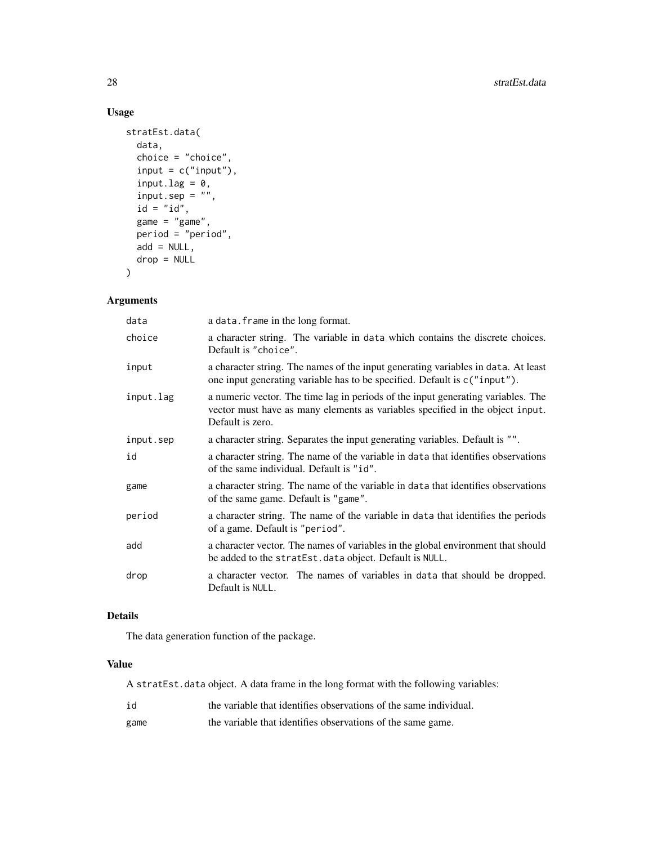#### Usage

```
stratEst.data(
 data,
  choice = "choice",
  input = c("input"),input.log = 0,input.\,sep = "",id = "id",game = "game",period = "period",
 add = NULL,drop = NULL
\mathcal{L}
```
#### Arguments

| data      | a data. frame in the long format.                                                                                                                                                     |
|-----------|---------------------------------------------------------------------------------------------------------------------------------------------------------------------------------------|
| choice    | a character string. The variable in data which contains the discrete choices.<br>Default is "choice".                                                                                 |
| input     | a character string. The names of the input generating variables in data. At least<br>one input generating variable has to be specified. Default is c("input").                        |
| input.lag | a numeric vector. The time lag in periods of the input generating variables. The<br>vector must have as many elements as variables specified in the object input.<br>Default is zero. |
| input.sep | a character string. Separates the input generating variables. Default is "".                                                                                                          |
| id        | a character string. The name of the variable in data that identifies observations<br>of the same individual. Default is "id".                                                         |
| game      | a character string. The name of the variable in data that identifies observations<br>of the same game. Default is "game".                                                             |
| period    | a character string. The name of the variable in data that identifies the periods<br>of a game. Default is "period".                                                                   |
| add       | a character vector. The names of variables in the global environment that should<br>be added to the stratEst.data object. Default is NULL.                                            |
| drop      | a character vector. The names of variables in data that should be dropped.<br>Default is NULL.                                                                                        |

#### Details

The data generation function of the package.

#### Value

A stratEst.data object. A data frame in the long format with the following variables:

| id   | the variable that identifies observations of the same individual. |
|------|-------------------------------------------------------------------|
| game | the variable that identifies observations of the same game.       |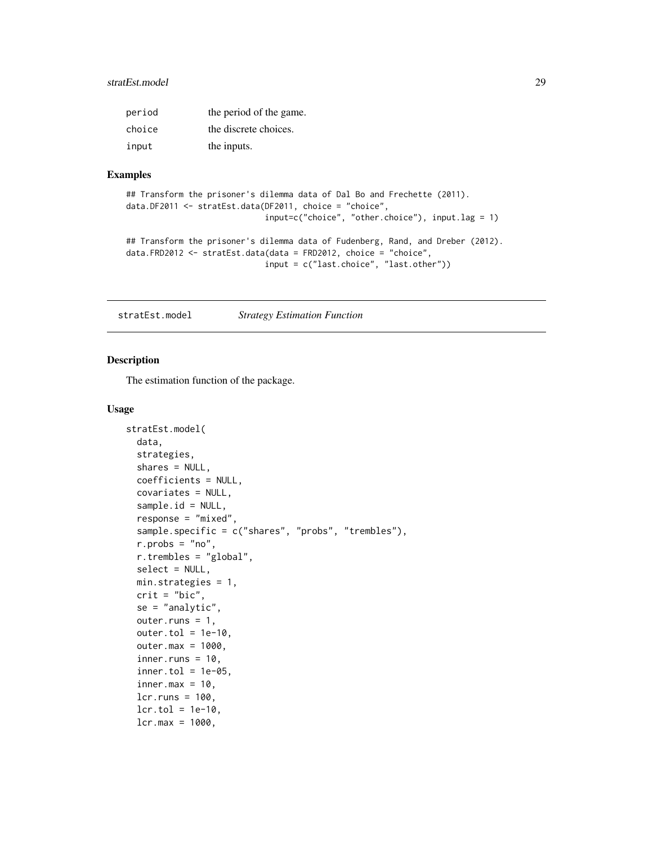#### <span id="page-28-0"></span>stratEst.model 29

| period | the period of the game. |
|--------|-------------------------|
| choice | the discrete choices.   |
| input  | the inputs.             |

#### Examples

```
## Transform the prisoner's dilemma data of Dal Bo and Frechette (2011).
data.DF2011 <- stratEst.data(DF2011, choice = "choice",
                             input=c("choice", "other.choice"), input.lag = 1)
## Transform the prisoner's dilemma data of Fudenberg, Rand, and Dreber (2012).
data.FRD2012 <- stratEst.data(data = FRD2012, choice = "choice",
                             input = c("last.choice", "last.other"))
```
stratEst.model *Strategy Estimation Function*

#### Description

The estimation function of the package.

#### Usage

```
stratEst.model(
  data,
  strategies,
  shares = NULL,
  coefficients = NULL,
  covariates = NULL,
  sample.id = NULL,
  response = "mixed",
  sample.specific = c("shares", "probs", "trembles"),
  r.probs = "no",
  r.trembles = "global",
  select = NULL,
  min.strategies = 1,
  crit = "bic",
  se = "analytic",
  outer.runs = 1,
  outer.tol = 1e-10,outer.max = 1000,inner.runs = 10,
  inner.tol = 1e-05,inner.max = 10,
  lcr.runs = 100,lcr.tol = 1e-10,lcr.max = 1000,
```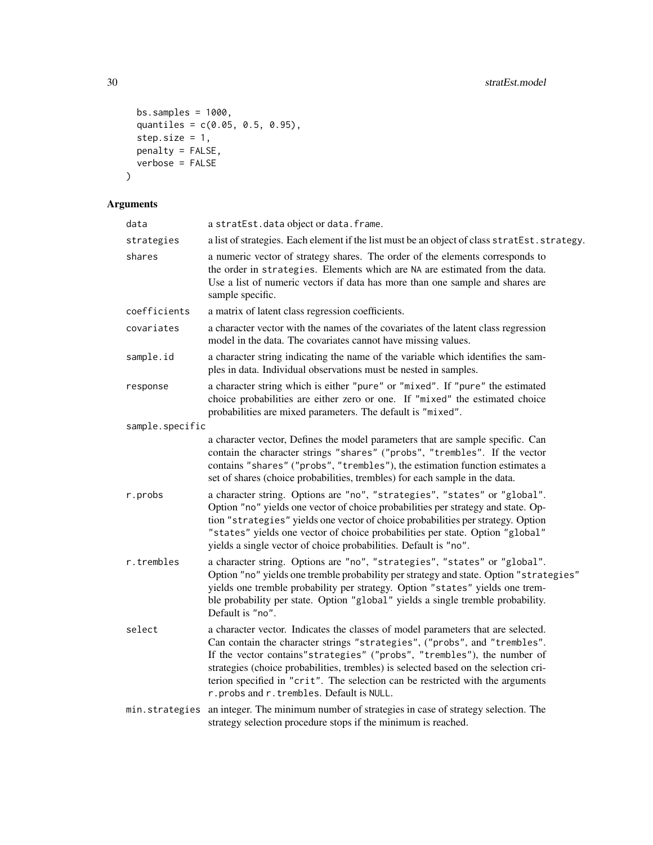```
bs.samples = 1000,
 quantiles = c(0.05, 0.5, 0.95),
 step.size = 1,
 penalty = FALSE,verbose = FALSE)
```

| data            | a stratEst.data object or data.frame.                                                                                                                                                                                                                                                                                                                                                                                                                          |
|-----------------|----------------------------------------------------------------------------------------------------------------------------------------------------------------------------------------------------------------------------------------------------------------------------------------------------------------------------------------------------------------------------------------------------------------------------------------------------------------|
| strategies      | a list of strategies. Each element if the list must be an object of class stratEst.strategy.                                                                                                                                                                                                                                                                                                                                                                   |
| shares          | a numeric vector of strategy shares. The order of the elements corresponds to<br>the order in strategies. Elements which are NA are estimated from the data.<br>Use a list of numeric vectors if data has more than one sample and shares are<br>sample specific.                                                                                                                                                                                              |
| coefficients    | a matrix of latent class regression coefficients.                                                                                                                                                                                                                                                                                                                                                                                                              |
| covariates      | a character vector with the names of the covariates of the latent class regression<br>model in the data. The covariates cannot have missing values.                                                                                                                                                                                                                                                                                                            |
| sample.id       | a character string indicating the name of the variable which identifies the sam-<br>ples in data. Individual observations must be nested in samples.                                                                                                                                                                                                                                                                                                           |
| response        | a character string which is either "pure" or "mixed". If "pure" the estimated<br>choice probabilities are either zero or one. If "mixed" the estimated choice<br>probabilities are mixed parameters. The default is "mixed".                                                                                                                                                                                                                                   |
| sample.specific |                                                                                                                                                                                                                                                                                                                                                                                                                                                                |
|                 | a character vector, Defines the model parameters that are sample specific. Can<br>contain the character strings "shares" ("probs", "trembles". If the vector<br>contains "shares" ("probs", "trembles"), the estimation function estimates a<br>set of shares (choice probabilities, trembles) for each sample in the data.                                                                                                                                    |
| r.probs         | a character string. Options are "no", "strategies", "states" or "global".<br>Option "no" yields one vector of choice probabilities per strategy and state. Op-<br>tion "strategies" yields one vector of choice probabilities per strategy. Option<br>"states" yields one vector of choice probabilities per state. Option "global"<br>yields a single vector of choice probabilities. Default is "no".                                                        |
| r.trembles      | a character string. Options are "no", "strategies", "states" or "global".<br>Option "no" yields one tremble probability per strategy and state. Option "strategies"<br>yields one tremble probability per strategy. Option "states" yields one trem-<br>ble probability per state. Option "global" yields a single tremble probability.<br>Default is "no".                                                                                                    |
| select          | a character vector. Indicates the classes of model parameters that are selected.<br>Can contain the character strings "strategies", ("probs", and "trembles".<br>If the vector contains" strategies" ("probs", "trembles"), the number of<br>strategies (choice probabilities, trembles) is selected based on the selection cri-<br>terion specified in "crit". The selection can be restricted with the arguments<br>r.probs and r.trembles. Default is NULL. |
| min.strategies  | an integer. The minimum number of strategies in case of strategy selection. The<br>strategy selection procedure stops if the minimum is reached.                                                                                                                                                                                                                                                                                                               |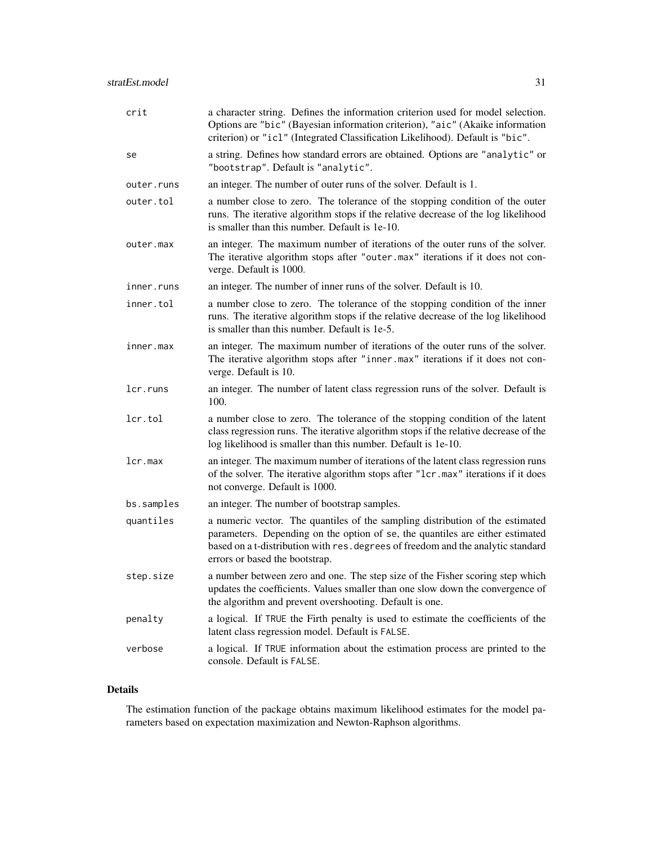| crit       | a character string. Defines the information criterion used for model selection.<br>Options are "bic" (Bayesian information criterion), "aic" (Akaike information<br>criterion) or "icl" (Integrated Classification Likelihood). Default is "bic".                                    |
|------------|--------------------------------------------------------------------------------------------------------------------------------------------------------------------------------------------------------------------------------------------------------------------------------------|
| se         | a string. Defines how standard errors are obtained. Options are "analytic" or<br>"bootstrap". Default is "analytic".                                                                                                                                                                 |
| outer.runs | an integer. The number of outer runs of the solver. Default is 1.                                                                                                                                                                                                                    |
| outer.tol  | a number close to zero. The tolerance of the stopping condition of the outer<br>runs. The iterative algorithm stops if the relative decrease of the log likelihood<br>is smaller than this number. Default is 1e-10.                                                                 |
| outer.max  | an integer. The maximum number of iterations of the outer runs of the solver.<br>The iterative algorithm stops after "outer .max" iterations if it does not con-<br>verge. Default is 1000.                                                                                          |
| inner.runs | an integer. The number of inner runs of the solver. Default is 10.                                                                                                                                                                                                                   |
| inner.tol  | a number close to zero. The tolerance of the stopping condition of the inner<br>runs. The iterative algorithm stops if the relative decrease of the log likelihood<br>is smaller than this number. Default is 1e-5.                                                                  |
| inner.max  | an integer. The maximum number of iterations of the outer runs of the solver.<br>The iterative algorithm stops after "inner.max" iterations if it does not con-<br>verge. Default is 10.                                                                                             |
| lcr.runs   | an integer. The number of latent class regression runs of the solver. Default is<br>100.                                                                                                                                                                                             |
| lcr.tol    | a number close to zero. The tolerance of the stopping condition of the latent<br>class regression runs. The iterative algorithm stops if the relative decrease of the<br>log likelihood is smaller than this number. Default is 1e-10.                                               |
| lcr.max    | an integer. The maximum number of iterations of the latent class regression runs<br>of the solver. The iterative algorithm stops after "1cr.max" iterations if it does<br>not converge. Default is 1000.                                                                             |
| bs.samples | an integer. The number of bootstrap samples.                                                                                                                                                                                                                                         |
| quantiles  | a numeric vector. The quantiles of the sampling distribution of the estimated<br>parameters. Depending on the option of se, the quantiles are either estimated<br>based on a t-distribution with res. degrees of freedom and the analytic standard<br>errors or based the bootstrap. |
| step.size  | a number between zero and one. The step size of the Fisher scoring step which<br>updates the coefficients. Values smaller than one slow down the convergence of<br>the algorithm and prevent overshooting. Default is one.                                                           |
| penalty    | a logical. If TRUE the Firth penalty is used to estimate the coefficients of the<br>latent class regression model. Default is FALSE.                                                                                                                                                 |
| verbose    | a logical. If TRUE information about the estimation process are printed to the<br>console. Default is FALSE.                                                                                                                                                                         |

#### Details

The estimation function of the package obtains maximum likelihood estimates for the model parameters based on expectation maximization and Newton-Raphson algorithms.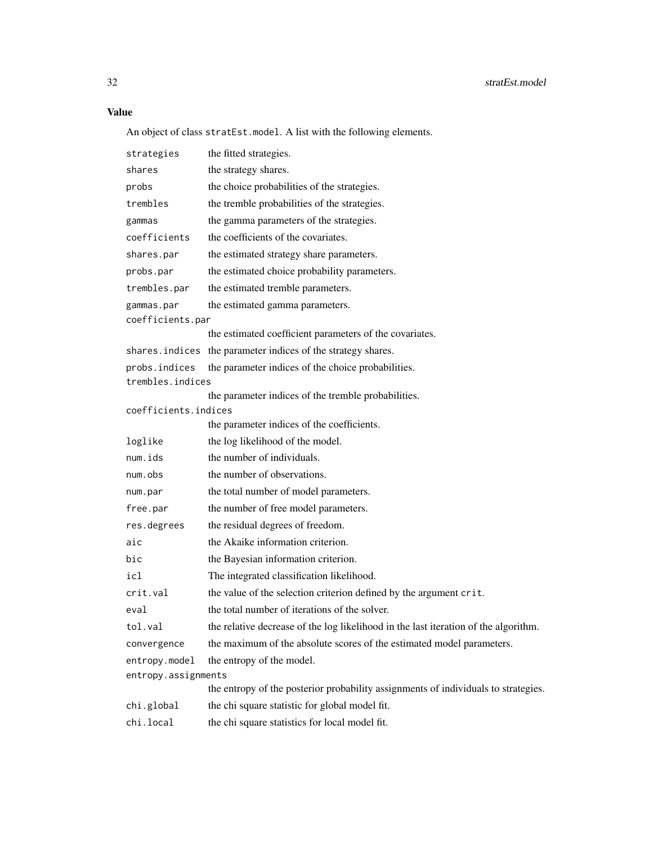An object of class stratEst.model. A list with the following elements.

| strategies           | the fitted strategies.                                                              |
|----------------------|-------------------------------------------------------------------------------------|
| shares               | the strategy shares.                                                                |
| probs                | the choice probabilities of the strategies.                                         |
| trembles             | the tremble probabilities of the strategies.                                        |
| gammas               | the gamma parameters of the strategies.                                             |
| coefficients         | the coefficients of the covariates.                                                 |
| shares.par           | the estimated strategy share parameters.                                            |
| probs.par            | the estimated choice probability parameters.                                        |
| trembles.par         | the estimated tremble parameters.                                                   |
| gammas.par           | the estimated gamma parameters.                                                     |
| coefficients.par     |                                                                                     |
|                      | the estimated coefficient parameters of the covariates.                             |
|                      | shares. indices the parameter indices of the strategy shares.                       |
| probs.indices        | the parameter indices of the choice probabilities.                                  |
| trembles.indices     |                                                                                     |
|                      | the parameter indices of the tremble probabilities.                                 |
| coefficients.indices | the parameter indices of the coefficients.                                          |
|                      |                                                                                     |
| loglike              | the log likelihood of the model.                                                    |
| num.ids              | the number of individuals.                                                          |
| num.obs              | the number of observations.                                                         |
| num.par              | the total number of model parameters.                                               |
| free.par             | the number of free model parameters.                                                |
| res.degrees          | the residual degrees of freedom.                                                    |
| aic                  | the Akaike information criterion.                                                   |
| bic                  | the Bayesian information criterion.                                                 |
| icl                  | The integrated classification likelihood.                                           |
| crit.val             | the value of the selection criterion defined by the argument crit.                  |
| eval                 | the total number of iterations of the solver.                                       |
| tol.val              | the relative decrease of the log likelihood in the last iteration of the algorithm. |
| convergence          | the maximum of the absolute scores of the estimated model parameters.               |
| entropy.model        | the entropy of the model.                                                           |
| entropy.assignments  |                                                                                     |
|                      | the entropy of the posterior probability assignments of individuals to strategies.  |
| chi.global           | the chi square statistic for global model fit.                                      |
| chi.local            | the chi square statistics for local model fit.                                      |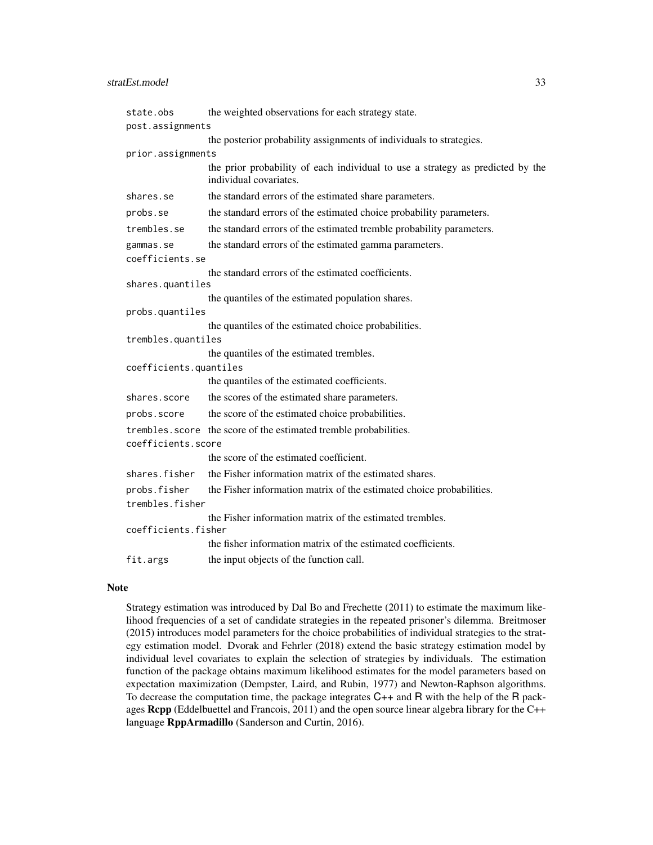| state.obs              | the weighted observations for each strategy state.                                                       |
|------------------------|----------------------------------------------------------------------------------------------------------|
| post.assignments       |                                                                                                          |
|                        | the posterior probability assignments of individuals to strategies.                                      |
| prior.assignments      |                                                                                                          |
|                        | the prior probability of each individual to use a strategy as predicted by the<br>individual covariates. |
| shares.se              | the standard errors of the estimated share parameters.                                                   |
| probs.se               | the standard errors of the estimated choice probability parameters.                                      |
| trembles.se            | the standard errors of the estimated tremble probability parameters.                                     |
| gammas.se              | the standard errors of the estimated gamma parameters.                                                   |
| coefficients.se        |                                                                                                          |
|                        | the standard errors of the estimated coefficients.                                                       |
| shares.quantiles       |                                                                                                          |
| probs.quantiles        | the quantiles of the estimated population shares.                                                        |
|                        | the quantiles of the estimated choice probabilities.                                                     |
| trembles.quantiles     |                                                                                                          |
|                        | the quantiles of the estimated trembles.                                                                 |
| coefficients.quantiles |                                                                                                          |
|                        | the quantiles of the estimated coefficients.                                                             |
| shares.score           | the scores of the estimated share parameters.                                                            |
| probs.score            | the score of the estimated choice probabilities.                                                         |
|                        | trembles. score the score of the estimated tremble probabilities.                                        |
| coefficients.score     |                                                                                                          |
|                        | the score of the estimated coefficient.                                                                  |
| shares.fisher          | the Fisher information matrix of the estimated shares.                                                   |
| probs.fisher           | the Fisher information matrix of the estimated choice probabilities.                                     |
| trembles.fisher        |                                                                                                          |
| coefficients.fisher    | the Fisher information matrix of the estimated trembles.                                                 |
|                        | the fisher information matrix of the estimated coefficients.                                             |
| fit.args               | the input objects of the function call.                                                                  |

#### Note

Strategy estimation was introduced by Dal Bo and Frechette (2011) to estimate the maximum likelihood frequencies of a set of candidate strategies in the repeated prisoner's dilemma. Breitmoser (2015) introduces model parameters for the choice probabilities of individual strategies to the strategy estimation model. Dvorak and Fehrler (2018) extend the basic strategy estimation model by individual level covariates to explain the selection of strategies by individuals. The estimation function of the package obtains maximum likelihood estimates for the model parameters based on expectation maximization (Dempster, Laird, and Rubin, 1977) and Newton-Raphson algorithms. To decrease the computation time, the package integrates  $C_{++}$  and R with the help of the R packages Rcpp (Eddelbuettel and Francois, 2011) and the open source linear algebra library for the C++ language RppArmadillo (Sanderson and Curtin, 2016).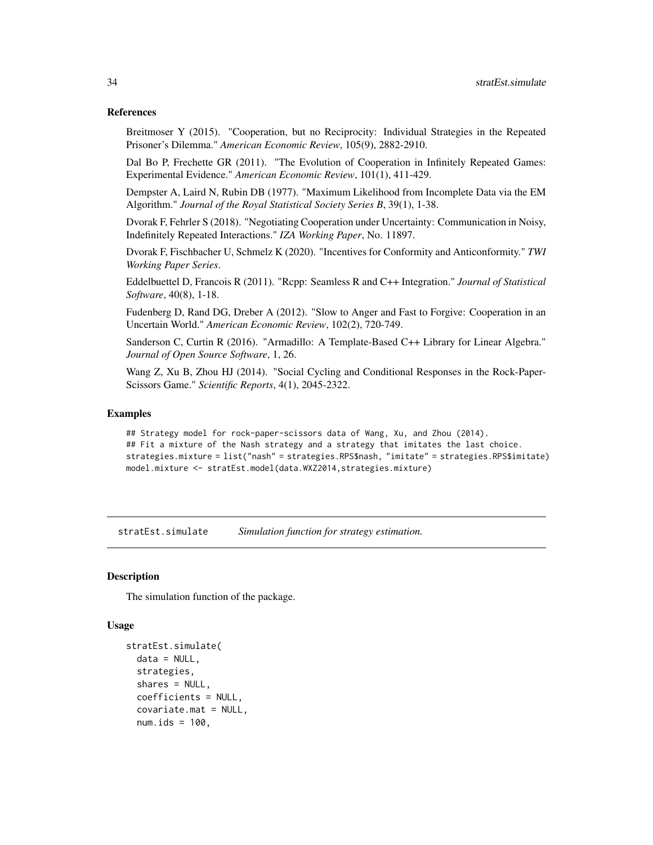#### <span id="page-33-0"></span>References

Breitmoser Y (2015). "Cooperation, but no Reciprocity: Individual Strategies in the Repeated Prisoner's Dilemma." *American Economic Review*, 105(9), 2882-2910.

Dal Bo P, Frechette GR (2011). "The Evolution of Cooperation in Infinitely Repeated Games: Experimental Evidence." *American Economic Review*, 101(1), 411-429.

Dempster A, Laird N, Rubin DB (1977). "Maximum Likelihood from Incomplete Data via the EM Algorithm." *Journal of the Royal Statistical Society Series B*, 39(1), 1-38.

Dvorak F, Fehrler S (2018). "Negotiating Cooperation under Uncertainty: Communication in Noisy, Indefinitely Repeated Interactions." *IZA Working Paper*, No. 11897.

Dvorak F, Fischbacher U, Schmelz K (2020). "Incentives for Conformity and Anticonformity." *TWI Working Paper Series*.

Eddelbuettel D, Francois R (2011). "Rcpp: Seamless R and C++ Integration." *Journal of Statistical Software*, 40(8), 1-18.

Fudenberg D, Rand DG, Dreber A (2012). "Slow to Anger and Fast to Forgive: Cooperation in an Uncertain World." *American Economic Review*, 102(2), 720-749.

Sanderson C, Curtin R (2016). "Armadillo: A Template-Based C++ Library for Linear Algebra." *Journal of Open Source Software*, 1, 26.

Wang Z, Xu B, Zhou HJ (2014). "Social Cycling and Conditional Responses in the Rock-Paper-Scissors Game." *Scientific Reports*, 4(1), 2045-2322.

#### Examples

## Strategy model for rock-paper-scissors data of Wang, Xu, and Zhou (2014). ## Fit a mixture of the Nash strategy and a strategy that imitates the last choice. strategies.mixture = list("nash" = strategies.RPS\$nash, "imitate" = strategies.RPS\$imitate) model.mixture <- stratEst.model(data.WXZ2014,strategies.mixture)

stratEst.simulate *Simulation function for strategy estimation.*

#### **Description**

The simulation function of the package.

#### Usage

```
stratEst.simulate(
  data = NULL,strategies,
  shares = NULL,
  coefficients = NULL,
  covariate.mat = NULL,
  num.ids = 100,
```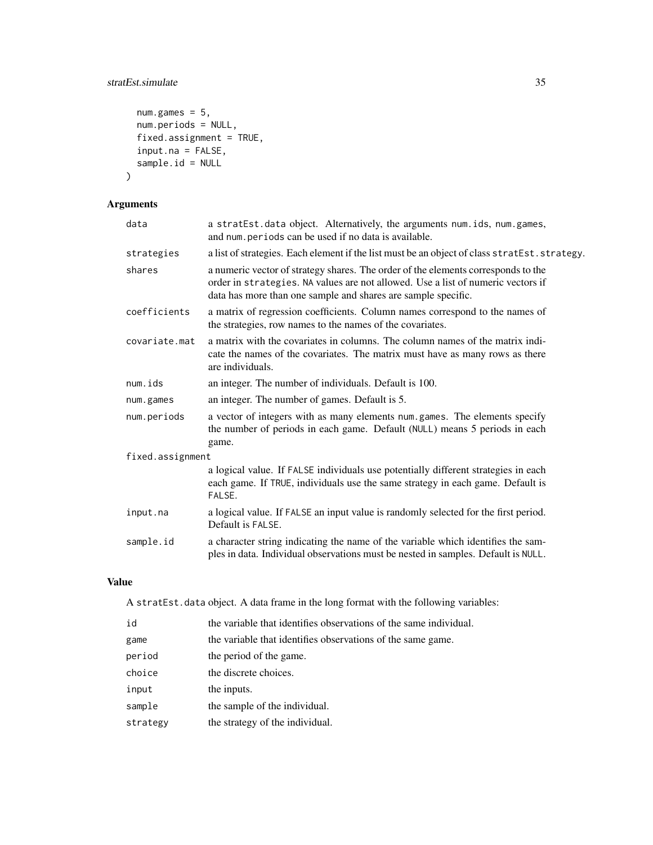#### stratEst.simulate 35

```
num.games = 5,
 num.periods = NULL,
 fixed.assignment = TRUE,
 input.na = FALSE,
 sample.id = NULL
)
```
#### Arguments

| data             | a stratEst.data object. Alternatively, the arguments num.ids, num.games,<br>and num. periods can be used if no data is available.                                                                                                      |  |
|------------------|----------------------------------------------------------------------------------------------------------------------------------------------------------------------------------------------------------------------------------------|--|
| strategies       | a list of strategies. Each element if the list must be an object of class stratEst. strategy.                                                                                                                                          |  |
| shares           | a numeric vector of strategy shares. The order of the elements corresponds to the<br>order in strategies. NA values are not allowed. Use a list of numeric vectors if<br>data has more than one sample and shares are sample specific. |  |
| coefficients     | a matrix of regression coefficients. Column names correspond to the names of<br>the strategies, row names to the names of the covariates.                                                                                              |  |
| covariate.mat    | a matrix with the covariates in columns. The column names of the matrix indi-<br>cate the names of the covariates. The matrix must have as many rows as there<br>are individuals.                                                      |  |
| num.ids          | an integer. The number of individuals. Default is 100.                                                                                                                                                                                 |  |
| num.games        | an integer. The number of games. Default is 5.                                                                                                                                                                                         |  |
| num.periods      | a vector of integers with as many elements num.games. The elements specify<br>the number of periods in each game. Default (NULL) means 5 periods in each<br>game.                                                                      |  |
| fixed.assignment |                                                                                                                                                                                                                                        |  |
|                  | a logical value. If FALSE individuals use potentially different strategies in each<br>each game. If TRUE, individuals use the same strategy in each game. Default is<br>FALSE.                                                         |  |
| input.na         | a logical value. If FALSE an input value is randomly selected for the first period.<br>Default is FALSE.                                                                                                                               |  |
| sample.id        | a character string indicating the name of the variable which identifies the sam-<br>ples in data. Individual observations must be nested in samples. Default is NULL.                                                                  |  |
|                  |                                                                                                                                                                                                                                        |  |

#### Value

A stratEst.data object. A data frame in the long format with the following variables:

| id       | the variable that identifies observations of the same individual. |
|----------|-------------------------------------------------------------------|
| game     | the variable that identifies observations of the same game.       |
| period   | the period of the game.                                           |
| choice   | the discrete choices.                                             |
| input    | the inputs.                                                       |
| sample   | the sample of the individual.                                     |
| strategy | the strategy of the individual.                                   |
|          |                                                                   |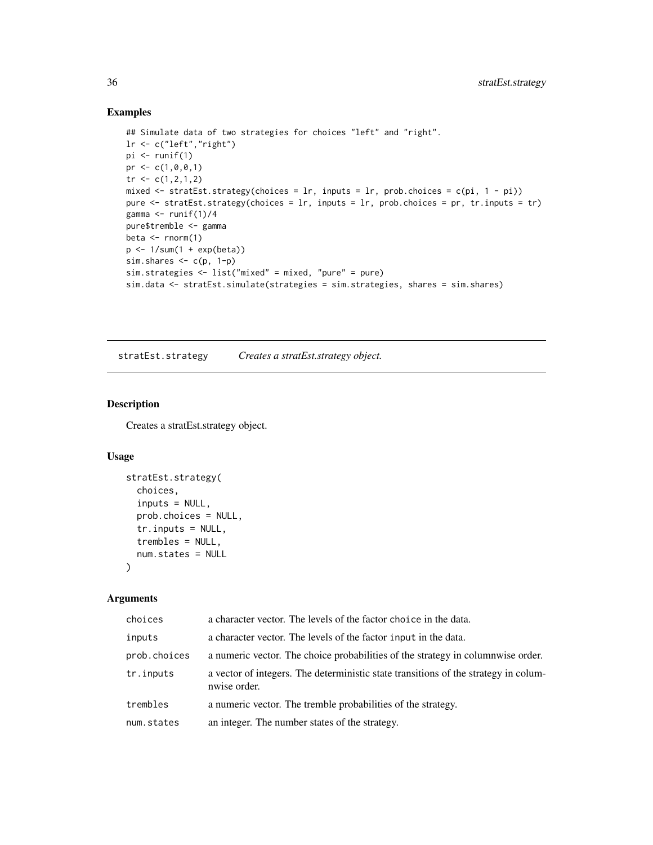#### Examples

```
## Simulate data of two strategies for choices "left" and "right".
lr <- c("left","right")
pi <- runif(1)
pr <- c(1, 0, 0, 1)tr <- c(1, 2, 1, 2)mixed \le stratEst.strategy(choices = lr, inputs = lr, prob.choices = c(pi, 1 - pi))
pure <- stratEst.strategy(choices = lr, inputs = lr, prob.choices = pr, tr.inputs = tr)
gamma \le runif(1)/4
pure$tremble <- gamma
beta \leq rnorm(1)
p <- 1/sum(1 + exp(beta))
sim.shares \leq c(p, 1-p)
sim.strategies <- list("mixed" = mixed, "pure" = pure)
sim.data <- stratEst.simulate(strategies = sim.strategies, shares = sim.shares)
```
stratEst.strategy *Creates a stratEst.strategy object.*

#### Description

Creates a stratEst.strategy object.

#### Usage

```
stratEst.strategy(
 choices,
  inputs = NULL,prob.choices = NULL,
  tr.inputs = NULL,
 trembles = NULL,
 num.states = NULL
)
```

| choices      | a character vector. The levels of the factor choice in the data.                                    |
|--------------|-----------------------------------------------------------------------------------------------------|
| inputs       | a character vector. The levels of the factor input in the data.                                     |
| prob.choices | a numeric vector. The choice probabilities of the strategy in columnwise order.                     |
| tr.inputs    | a vector of integers. The deterministic state transitions of the strategy in colum-<br>nwise order. |
| trembles     | a numeric vector. The tremble probabilities of the strategy.                                        |
| num.states   | an integer. The number states of the strategy.                                                      |

<span id="page-35-0"></span>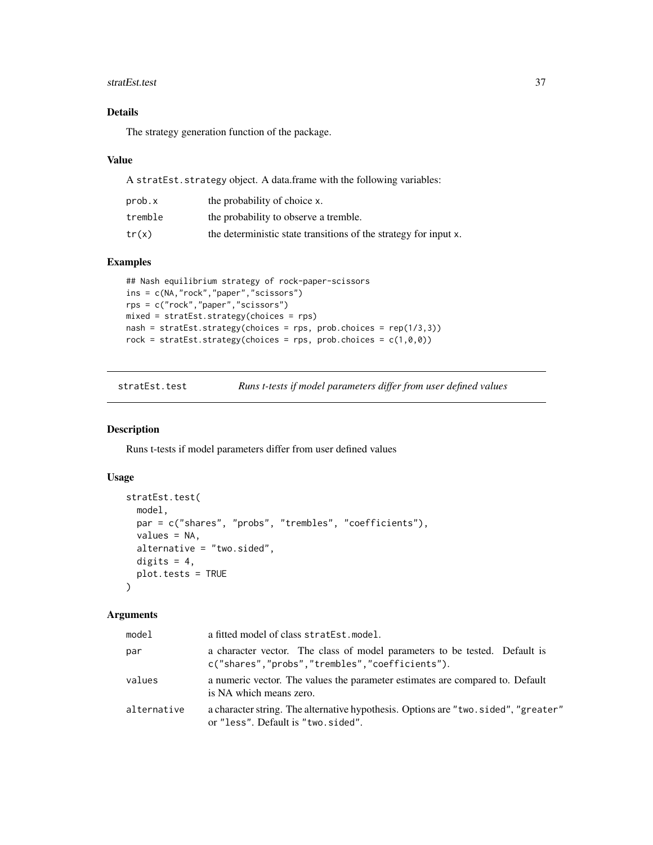#### <span id="page-36-0"></span>stratEst.test 37

#### Details

The strategy generation function of the package.

#### Value

A stratEst.strategy object. A data.frame with the following variables:

| prob.x  | the probability of choice x.                                     |
|---------|------------------------------------------------------------------|
| tremble | the probability to observe a tremble.                            |
| tr(x)   | the deterministic state transitions of the strategy for input x. |

#### Examples

```
## Nash equilibrium strategy of rock-paper-scissors
ins = c(NA,"rock","paper","scissors")
rps = c("rock","paper","scissors")
mixed = stratEst.strategy(choices = rps)
nash = stratEst.strategy(choices = rps, prob.choices = rep(1/3,3))
rock = stratEst.strategy(choices = rps, prob.choices = c(1,0,0))
```

| stratEst.test |
|---------------|
|---------------|

Runs t-tests if model parameters differ from user defined values

#### Description

Runs t-tests if model parameters differ from user defined values

#### Usage

```
stratEst.test(
 model,
 par = c("shares", "probs", "trembles", "coefficients"),
  values = NA,
  alternative = "two.sided",
  digits = 4,
 plot.tests = TRUE
\mathcal{L}
```

| model       | a fitted model of class stratEst.model.                                                                                      |
|-------------|------------------------------------------------------------------------------------------------------------------------------|
| par         | a character vector. The class of model parameters to be tested. Default is<br>c("shares","probs","trembles","coefficients"). |
| values      | a numeric vector. The values the parameter estimates are compared to. Default<br>is NA which means zero.                     |
| alternative | a character string. The alternative hypothesis. Options are "two.sided", "greater"<br>or "less". Default is "two.sided".     |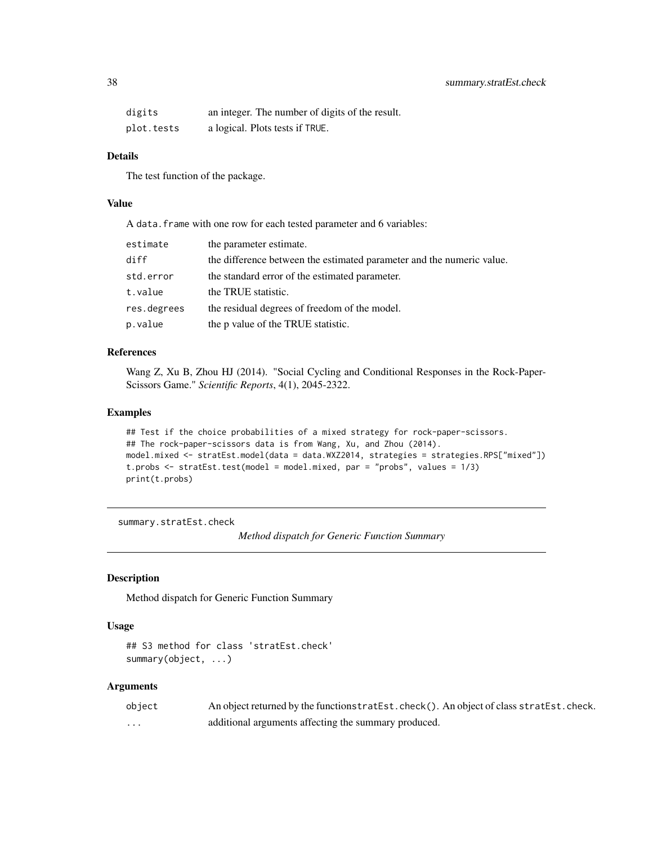<span id="page-37-0"></span>

| digits     | an integer. The number of digits of the result. |
|------------|-------------------------------------------------|
| plot.tests | a logical. Plots tests if TRUE.                 |

#### Details

The test function of the package.

#### Value

A data.frame with one row for each tested parameter and 6 variables:

| estimate    | the parameter estimate.                                               |
|-------------|-----------------------------------------------------------------------|
| diff        | the difference between the estimated parameter and the numeric value. |
| std.error   | the standard error of the estimated parameter.                        |
| t.value     | the TRUE statistic.                                                   |
| res.degrees | the residual degrees of freedom of the model.                         |
| p.value     | the p value of the TRUE statistic.                                    |

#### References

Wang Z, Xu B, Zhou HJ (2014). "Social Cycling and Conditional Responses in the Rock-Paper-Scissors Game." *Scientific Reports*, 4(1), 2045-2322.

#### Examples

```
## Test if the choice probabilities of a mixed strategy for rock-paper-scissors.
## The rock-paper-scissors data is from Wang, Xu, and Zhou (2014).
model.mixed <- stratEst.model(data = data.WXZ2014, strategies = strategies.RPS["mixed"])
t.probs <- stratEst.test(model = model.mixed, par = "probs", values = 1/3)
print(t.probs)
```
summary.stratEst.check

*Method dispatch for Generic Function Summary*

#### Description

Method dispatch for Generic Function Summary

#### Usage

```
## S3 method for class 'stratEst.check'
summary(object, ...)
```

| object   | An object returned by the function stratest. check(). An object of class stratest. check. |
|----------|-------------------------------------------------------------------------------------------|
| $\cdots$ | additional arguments affecting the summary produced.                                      |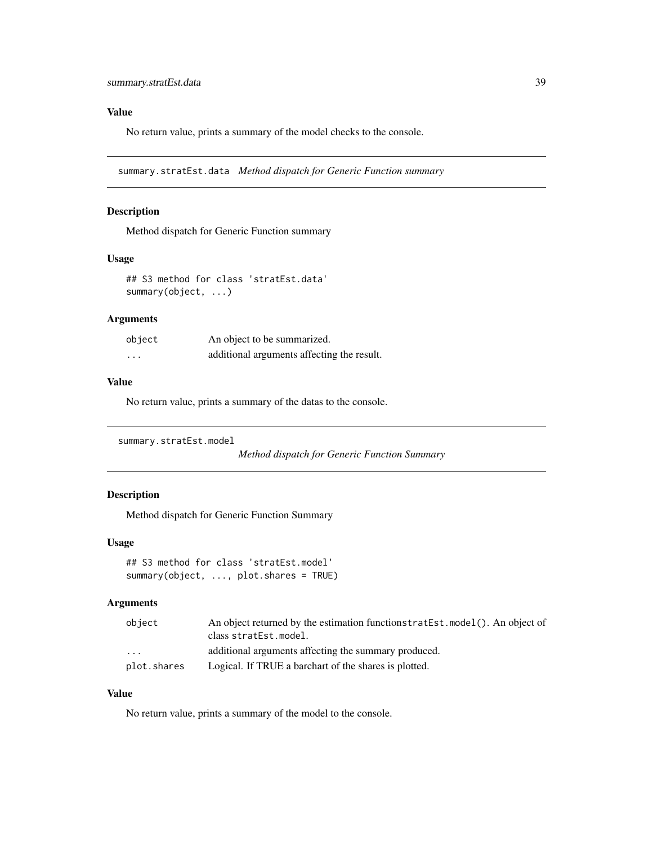#### <span id="page-38-0"></span>Value

No return value, prints a summary of the model checks to the console.

summary.stratEst.data *Method dispatch for Generic Function summary*

#### Description

Method dispatch for Generic Function summary

#### Usage

## S3 method for class 'stratEst.data' summary(object, ...)

#### Arguments

| object   | An object to be summarized.                |
|----------|--------------------------------------------|
| $\cdots$ | additional arguments affecting the result. |

#### Value

No return value, prints a summary of the datas to the console.

```
summary.stratEst.model
```
*Method dispatch for Generic Function Summary*

#### Description

Method dispatch for Generic Function Summary

#### Usage

```
## S3 method for class 'stratEst.model'
summary(object, ..., plot.shares = TRUE)
```
#### Arguments

| object            | An object returned by the estimation functionstratest. model (). An object of |
|-------------------|-------------------------------------------------------------------------------|
|                   | class stratEst.model.                                                         |
| $\cdot\cdot\cdot$ | additional arguments affecting the summary produced.                          |
| plot.shares       | Logical. If TRUE a barchart of the shares is plotted.                         |

#### Value

No return value, prints a summary of the model to the console.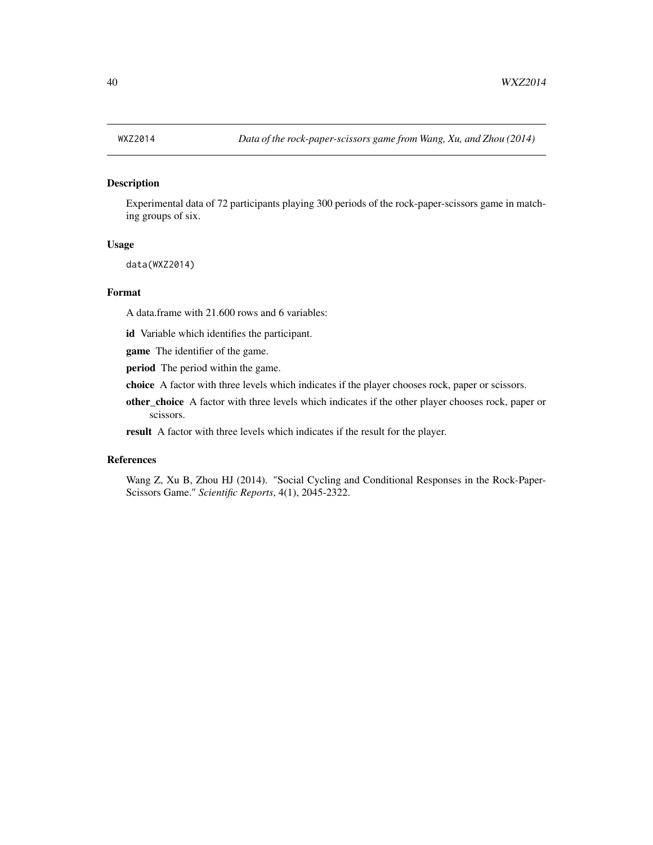#### <span id="page-39-0"></span>Description

Experimental data of 72 participants playing 300 periods of the rock-paper-scissors game in matching groups of six.

#### Usage

data(WXZ2014)

#### Format

A data.frame with 21.600 rows and 6 variables:

id Variable which identifies the participant.

game The identifier of the game.

period The period within the game.

choice A factor with three levels which indicates if the player chooses rock, paper or scissors.

other\_choice A factor with three levels which indicates if the other player chooses rock, paper or scissors.

result A factor with three levels which indicates if the result for the player.

#### References

Wang Z, Xu B, Zhou HJ (2014). "Social Cycling and Conditional Responses in the Rock-Paper-Scissors Game." *Scientific Reports*, 4(1), 2045-2322.